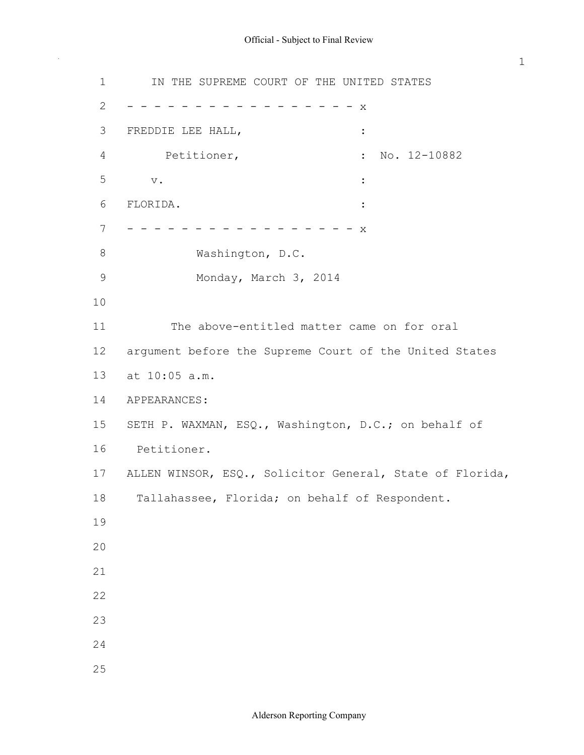$\bar{\mathcal{A}}$ 

| $\mathbf 1$   | IN THE SUPREME COURT OF THE UNITED STATES                |
|---------------|----------------------------------------------------------|
| $\mathbf{2}$  | X                                                        |
| 3             | FREDDIE LEE HALL,<br>$\ddot{\cdot}$                      |
| 4             | Petitioner,<br>No. 12-10882<br>$\ddot{\phantom{a}}$      |
| 5             | $\mathbf v$ .<br>$\ddot{\cdot}$                          |
| 6             | FLORIDA.                                                 |
| 7             | X                                                        |
| 8             | Washington, D.C.                                         |
| $\mathcal{G}$ | Monday, March 3, 2014                                    |
| 10            |                                                          |
| 11            | The above-entitled matter came on for oral               |
| 12            | argument before the Supreme Court of the United States   |
| 13            | at 10:05 a.m.                                            |
| 14            | APPEARANCES:                                             |
| 15            | SETH P. WAXMAN, ESQ., Washington, D.C.; on behalf of     |
| 16            | Petitioner.                                              |
| 17            | ALLEN WINSOR, ESQ., Solicitor General, State of Florida, |
| 18            | Tallahassee, Florida; on behalf of Respondent.           |
| 19            |                                                          |
| 20            |                                                          |
| 21            |                                                          |
| 22            |                                                          |
| 23            |                                                          |
| 24            |                                                          |
| 25            |                                                          |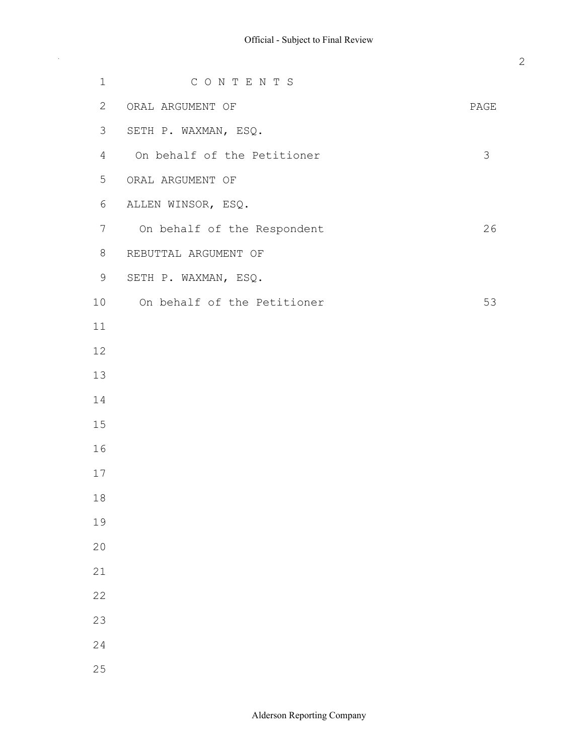| $1\,$          | CONTENTS                    |      |
|----------------|-----------------------------|------|
| 2              | ORAL ARGUMENT OF            | PAGE |
| $\mathfrak{Z}$ | SETH P. WAXMAN, ESQ.        |      |
| $\overline{4}$ | On behalf of the Petitioner | 3    |
| 5              | ORAL ARGUMENT OF            |      |
| 6              | ALLEN WINSOR, ESQ.          |      |
| $7\phantom{.}$ | On behalf of the Respondent | 26   |
| 8              | REBUTTAL ARGUMENT OF        |      |
| 9              | SETH P. WAXMAN, ESQ.        |      |
| 10             | On behalf of the Petitioner | 53   |
| 11             |                             |      |
| 12             |                             |      |
| 13             |                             |      |
| 14             |                             |      |
| 15             |                             |      |
| 16             |                             |      |
| 17             |                             |      |
| 18             |                             |      |
| 19             |                             |      |
| 20             |                             |      |
| 21             |                             |      |
| 22             |                             |      |
| 23             |                             |      |
| 24             |                             |      |
| 25             |                             |      |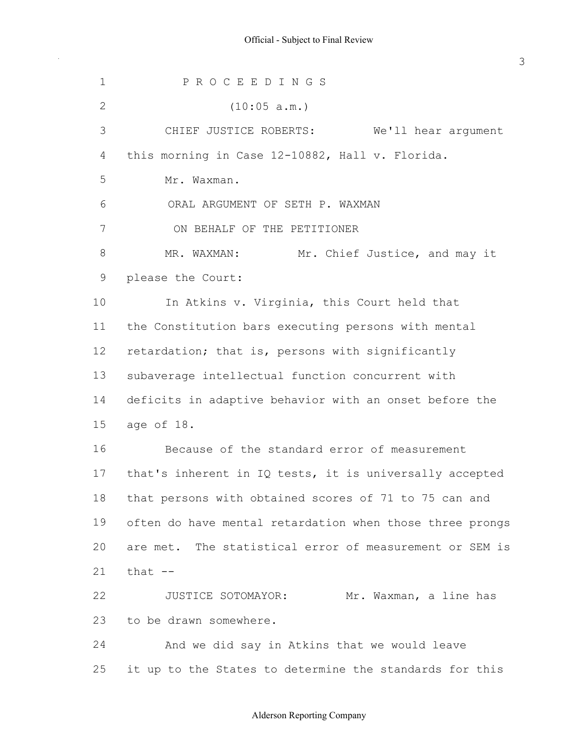P R O C E E D I N G S (10:05 a.m.) CHIEF JUSTICE ROBERTS: We'll hear argument 4 this morning in Case 12-10882, Hall v. Florida. Mr. Waxman. ORAL ARGUMENT OF SETH P. WAXMAN ON BEHALF OF THE PETITIONER 8 MR. WAXMAN: Mr. Chief Justice, and may it please the Court: In Atkins v. Virginia, this Court held that the Constitution bars executing persons with mental retardation; that is, persons with significantly subaverage intellectual function concurrent with deficits in adaptive behavior with an onset before the age of 18. Because of the standard error of measurement that's inherent in IQ tests, it is universally accepted that persons with obtained scores of 71 to 75 can and often do have mental retardation when those three prongs are met. The statistical error of measurement or SEM is that  $-$ 22 JUSTICE SOTOMAYOR: Mr. Waxman, a line has to be drawn somewhere. And we did say in Atkins that we would leave it up to the States to determine the standards for this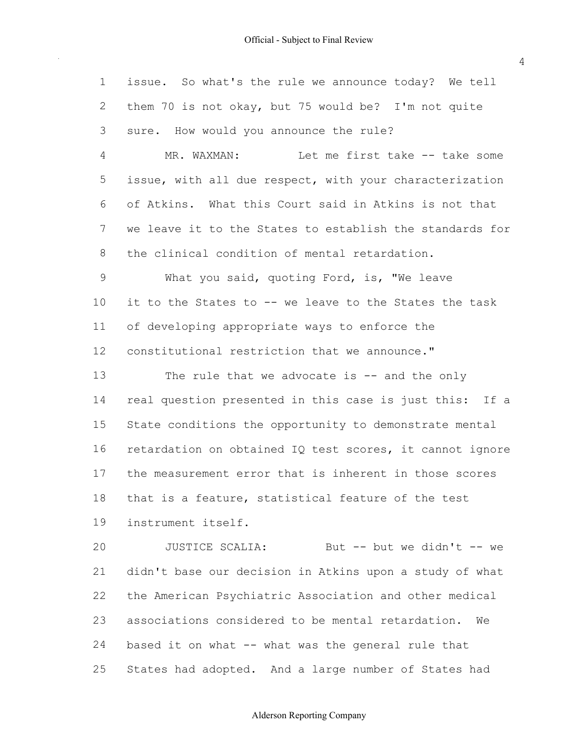issue. So what's the rule we announce today? We tell them 70 is not okay, but 75 would be? I'm not quite sure. How would you announce the rule? 4 MR. WAXMAN: Let me first take -- take some issue, with all due respect, with your characterization of Atkins. What this Court said in Atkins is not that we leave it to the States to establish the standards for the clinical condition of mental retardation. 9 What you said, quoting Ford, is, "We leave 10 it to the States to -- we leave to the States the task of developing appropriate ways to enforce the constitutional restriction that we announce." 13 The rule that we advocate is -- and the only real question presented in this case is just this: If a State conditions the opportunity to demonstrate mental retardation on obtained IQ test scores, it cannot ignore the measurement error that is inherent in those scores that is a feature, statistical feature of the test instrument itself. 20 JUSTICE SCALIA: But -- but we didn't -- we didn't base our decision in Atkins upon a study of what the American Psychiatric Association and other medical associations considered to be mental retardation. We

24 based it on what  $--$  what was the general rule that States had adopted. And a large number of States had

Alderson Reporting Company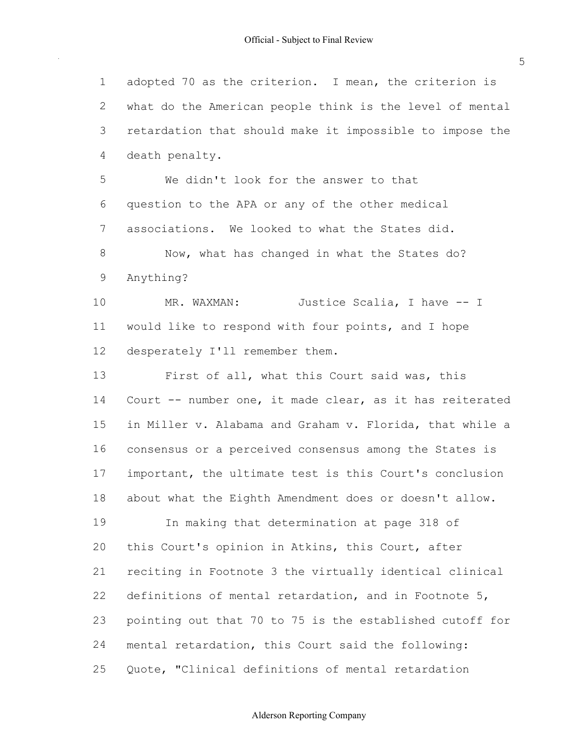adopted 70 as the criterion. I mean, the criterion is what do the American people think is the level of mental retardation that should make it impossible to impose the death penalty. We didn't look for the answer to that question to the APA or any of the other medical associations. We looked to what the States did. 8 Now, what has changed in what the States do? Anything? 10 MR. WAXMAN: Justice Scalia, I have -- I would like to respond with four points, and I hope desperately I'll remember them. First of all, what this Court said was, this 14 Court -- number one, it made clear, as it has reiterated in Miller v. Alabama and Graham v. Florida, that while a consensus or a perceived consensus among the States is important, the ultimate test is this Court's conclusion about what the Eighth Amendment does or doesn't allow. In making that determination at page 318 of this Court's opinion in Atkins, this Court, after reciting in Footnote 3 the virtually identical clinical definitions of mental retardation, and in Footnote 5, pointing out that 70 to 75 is the established cutoff for mental retardation, this Court said the following: Quote, "Clinical definitions of mental retardation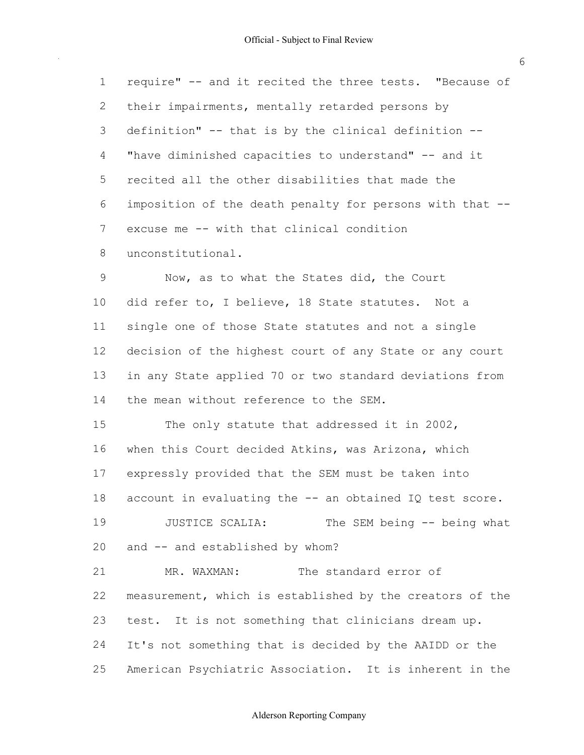| 1              | require" -- and it recited the three tests. "Because of  |
|----------------|----------------------------------------------------------|
| 2              | their impairments, mentally retarded persons by          |
| 3              | definition" -- that is by the clinical definition --     |
| $\overline{4}$ | "have diminished capacities to understand" -- and it     |
| 5              | recited all the other disabilities that made the         |
| 6              | imposition of the death penalty for persons with that -- |
| $\overline{7}$ | excuse me -- with that clinical condition                |
| 8              | unconstitutional.                                        |
| 9              | Now, as to what the States did, the Court                |
| 10             | did refer to, I believe, 18 State statutes. Not a        |
| 11             | single one of those State statutes and not a single      |
| 12             | decision of the highest court of any State or any court  |
| 13             | in any State applied 70 or two standard deviations from  |
| 14             | the mean without reference to the SEM.                   |
| 15             | The only statute that addressed it in 2002,              |
| 16             | when this Court decided Atkins, was Arizona, which       |
| 17             | expressly provided that the SEM must be taken into       |
| 18             | account in evaluating the -- an obtained IQ test score.  |
| 19             | JUSTICE SCALIA:<br>The SEM being -- being what           |
| 20             | and -- and established by whom?                          |
| 21             | MR. WAXMAN: The standard error of                        |
| 22             | measurement, which is established by the creators of the |
| 23             | test. It is not something that clinicians dream up.      |
| 24             | It's not something that is decided by the AAIDD or the   |
| 25             | American Psychiatric Association. It is inherent in the  |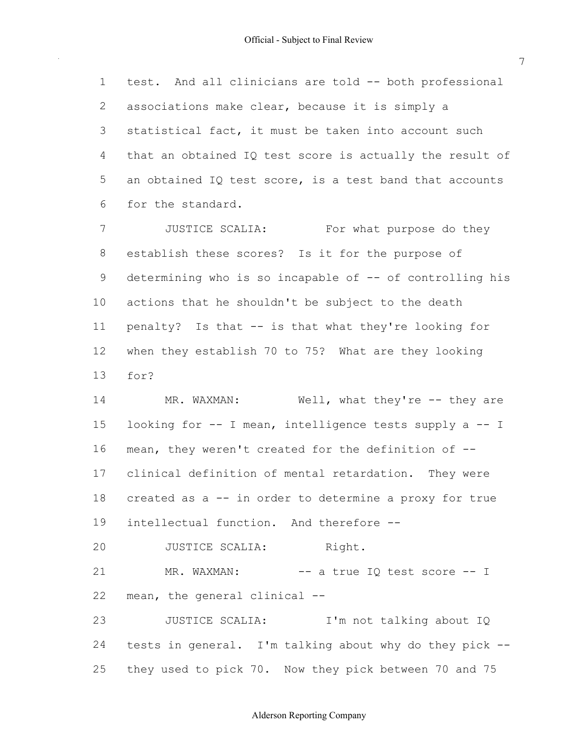1 test. And all clinicians are told -- both professional associations make clear, because it is simply a statistical fact, it must be taken into account such that an obtained IQ test score is actually the result of an obtained IQ test score, is a test band that accounts for the standard.

**JUSTICE SCALIA:** For what purpose do they establish these scores? Is it for the purpose of 9 determining who is so incapable of  $-$ - of controlling his actions that he shouldn't be subject to the death 11 penalty? Is that -- is that what they're looking for when they establish 70 to 75? What are they looking for?

14 MR. WAXMAN: Well, what they're -- they are 15 looking for  $--$  I mean, intelligence tests supply a  $--$  I 16 mean, they weren't created for the definition of -- clinical definition of mental retardation. They were 18 created as  $a - i$ n order to determine a proxy for true intellectual function. And therefore

20 JUSTICE SCALIA: Right. 21 MR. WAXMAN: -- a true IQ test score -- I mean, the general clinical

 JUSTICE SCALIA: I'm not talking about IQ tests in general. I'm talking about why do they pick they used to pick 70. Now they pick between 70 and 75

## Alderson Reporting Company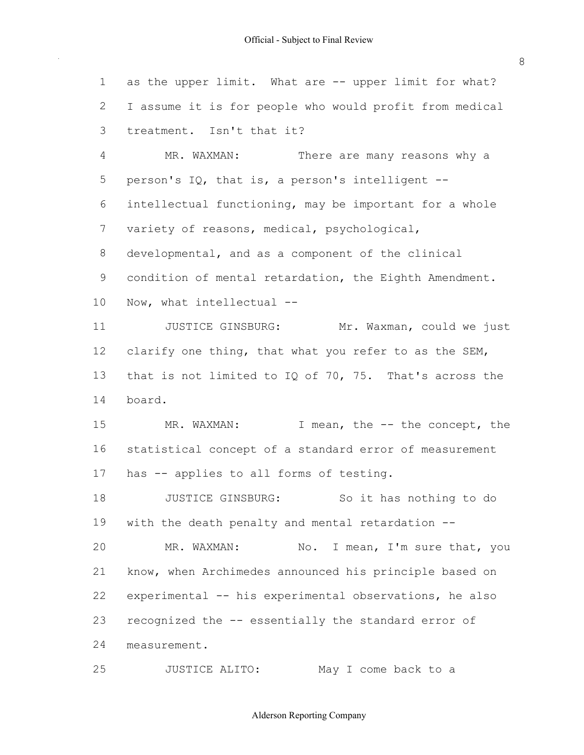| $\mathbf 1$ | as the upper limit. What are -- upper limit for what?   |
|-------------|---------------------------------------------------------|
| 2           | I assume it is for people who would profit from medical |
| 3           | treatment. Isn't that it?                               |
| 4           | MR. WAXMAN:<br>There are many reasons why a             |
| 5           | person's IQ, that is, a person's intelligent --         |
| 6           | intellectual functioning, may be important for a whole  |
| 7           | variety of reasons, medical, psychological,             |
| 8           | developmental, and as a component of the clinical       |
| 9           | condition of mental retardation, the Eighth Amendment.  |
| 10          | Now, what intellectual --                               |
| 11          | JUSTICE GINSBURG:<br>Mr. Waxman, could we just          |
| 12          | clarify one thing, that what you refer to as the SEM,   |
| 13          | that is not limited to IQ of 70, 75. That's across the  |
| 14          | board.                                                  |
| 15          | MR. WAXMAN:<br>I mean, the -- the concept, the          |
| 16          | statistical concept of a standard error of measurement  |
| 17          | has -- applies to all forms of testing.                 |
| 18          | So it has nothing to do<br>JUSTICE GINSBURG:            |
| 19          | with the death penalty and mental retardation --        |
| 20          | No. I mean, I'm sure that, you<br>MR. WAXMAN:           |
| 21          | know, when Archimedes announced his principle based on  |
| 22          | experimental -- his experimental observations, he also  |
| 23          | recognized the -- essentially the standard error of     |
| 24          | measurement.                                            |
| 25          | May I come back to a<br>JUSTICE ALITO:                  |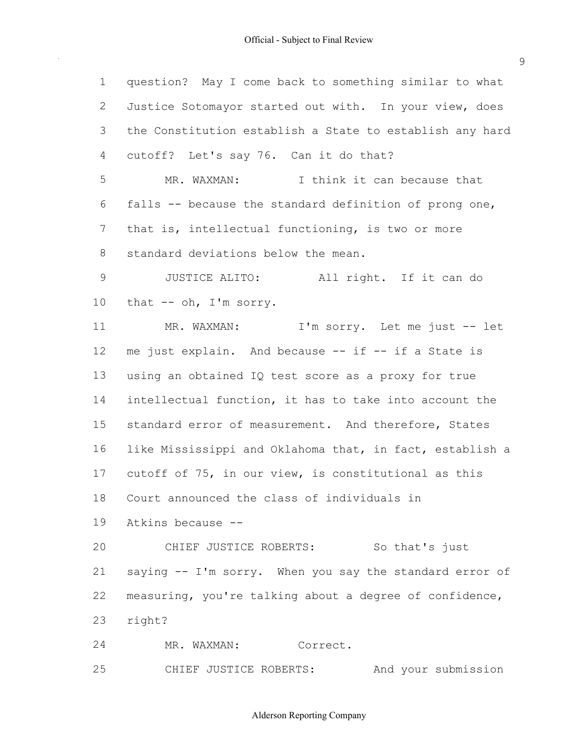|        | P. |                  |  |
|--------|----|------------------|--|
| ×<br>× |    |                  |  |
|        |    | I<br>ł<br>I<br>I |  |

| $\mathbf 1$     | question? May I come back to something similar to what   |
|-----------------|----------------------------------------------------------|
| 2               | Justice Sotomayor started out with. In your view, does   |
| 3               | the Constitution establish a State to establish any hard |
| 4               | cutoff? Let's say 76. Can it do that?                    |
| 5               | MR. WAXMAN: I think it can because that                  |
| 6               | falls -- because the standard definition of prong one,   |
| 7               | that is, intellectual functioning, is two or more        |
| 8               | standard deviations below the mean.                      |
| $\mathsf 9$     | JUSTICE ALITO:<br>All right. If it can do                |
| 10              | that $--$ oh, I'm sorry.                                 |
| 11              | I'm sorry. Let me just -- let<br>MR. WAXMAN:             |
| 12 <sup>°</sup> | me just explain. And because -- if -- if a State is      |
| 13              | using an obtained IQ test score as a proxy for true      |
| 14              | intellectual function, it has to take into account the   |
| 15              | standard error of measurement. And therefore, States     |
| 16              | like Mississippi and Oklahoma that, in fact, establish a |
| 17              | cutoff of 75, in our view, is constitutional as this     |
| 18              | Court announced the class of individuals in              |
| 19              | Atkins because --                                        |
| 20              | CHIEF JUSTICE ROBERTS: So that's just                    |
| 21              | saying -- I'm sorry. When you say the standard error of  |
| 22              | measuring, you're talking about a degree of confidence,  |
| 23              | right?                                                   |
| 24              | MR. WAXMAN: Correct.                                     |
| 25              | And your submission<br>CHIEF JUSTICE ROBERTS:            |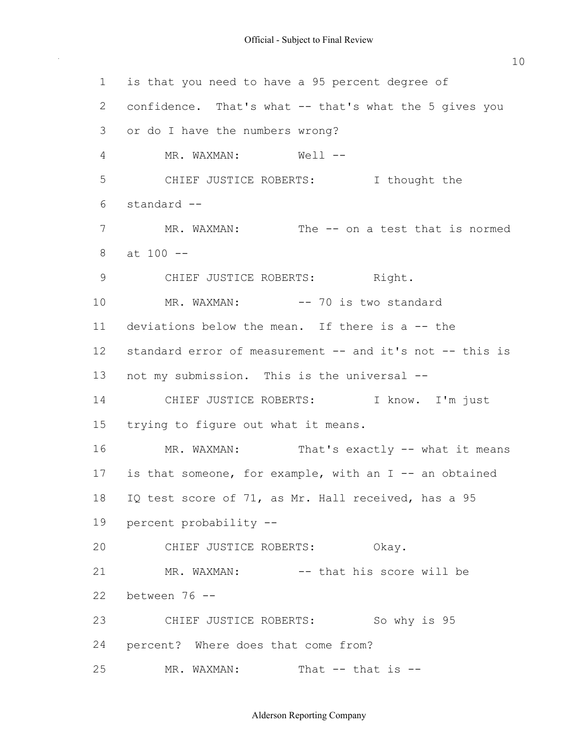1 is that you need to have a 95 percent degree of 2 confidence. That's what -- that's what the 5 gives you 3 or do I have the numbers wrong? 4 MR. WAXMAN: Well --5 CHIEF JUSTICE ROBERTS: I thought the 6 standard 7 MR. WAXMAN: The -- on a test that is normed  $8$  at  $100$  --9 CHIEF JUSTICE ROBERTS: Right. 10 MR. WAXMAN:  $-- 70$  is two standard 11 deviations below the mean. If there is a  $-$ - the 12 standard error of measurement -- and it's not -- this is 13 not my submission. This is the universal --14 CHIEF JUSTICE ROBERTS: I know. I'm just 15 trying to figure out what it means. 16 MR. WAXMAN: That's exactly -- what it means 17 is that someone, for example, with an  $I$  -- an obtained 18 IQ test score of 71, as Mr. Hall received, has a 95 19 percent probability 20 CHIEF JUSTICE ROBERTS: Okay. 21 MR. WAXMAN: -- that his score will be 22 between 76 23 CHIEF JUSTICE ROBERTS: So why is 95 24 percent? Where does that come from? 25 MR. WAXMAN: That -- that is --

#### Alderson Reporting Company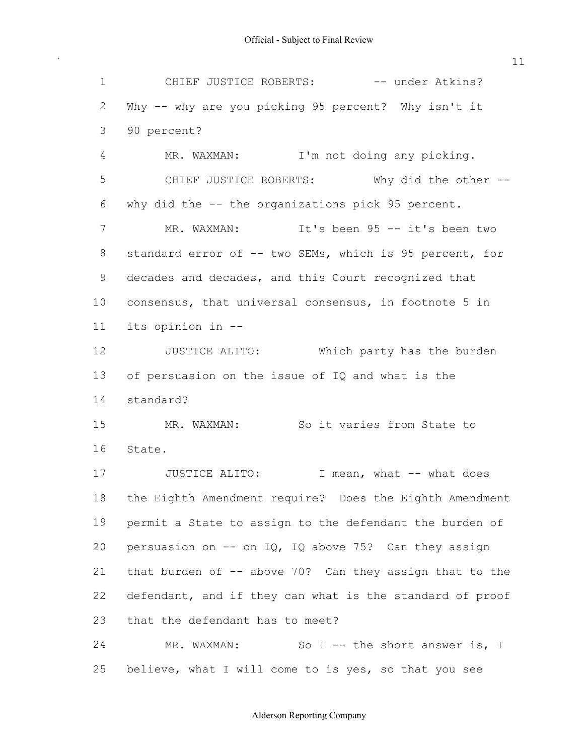| $\mathbf 1$  | CHIEF JUSTICE ROBERTS: -- under Atkins?                    |
|--------------|------------------------------------------------------------|
| $\mathbf{2}$ | Why -- why are you picking 95 percent? Why isn't it        |
| 3            | 90 percent?                                                |
| 4            | MR. WAXMAN:<br>I'm not doing any picking.                  |
| 5            | CHIEF JUSTICE ROBERTS: Why did the other --                |
| 6            | why did the -- the organizations pick 95 percent.          |
| 7            | MR. WAXMAN: It's been 95 -- it's been two                  |
| 8            | standard error of -- two SEMs, which is 95 percent, for    |
| 9            | decades and decades, and this Court recognized that        |
| 10           | consensus, that universal consensus, in footnote 5 in      |
| 11           | its opinion in --                                          |
| 12           | JUSTICE ALITO: Which party has the burden                  |
| 13           | of persuasion on the issue of IQ and what is the           |
| 14           | standard?                                                  |
| 15           | MR. WAXMAN: So it varies from State to                     |
| 16           | State.                                                     |
| 17           | JUSTICE ALITO: I mean, what -- what does                   |
|              | 18 the Eighth Amendment require? Does the Eighth Amendment |
| 19           | permit a State to assign to the defendant the burden of    |
| 20           | persuasion on $-$ - on IQ, IQ above 75? Can they assign    |
| 21           | that burden of -- above 70? Can they assign that to the    |
| 22           | defendant, and if they can what is the standard of proof   |
| 23           | that the defendant has to meet?                            |
| 24           | So I -- the short answer is, I<br>MR. WAXMAN:              |
| 25           | believe, what I will come to is yes, so that you see       |

# Alderson Reporting Company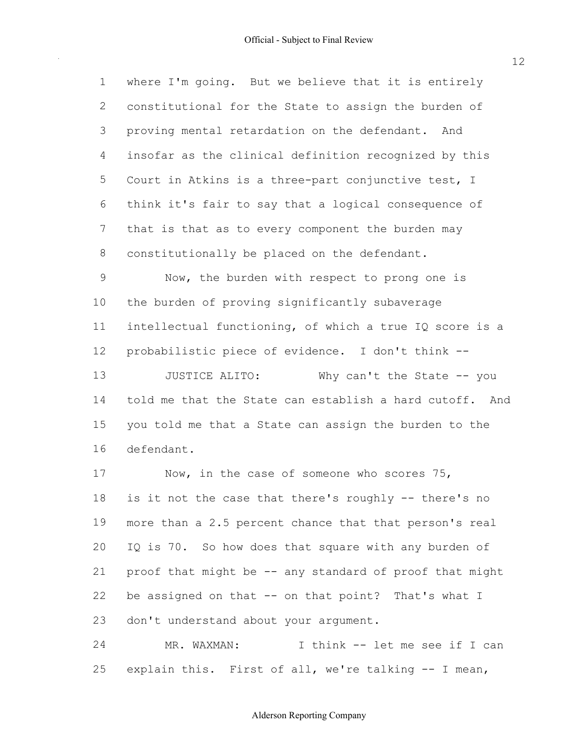| $\mathbf 1$  | where I'm going. But we believe that it is entirely     |
|--------------|---------------------------------------------------------|
| $\mathbf{2}$ | constitutional for the State to assign the burden of    |
| 3            | proving mental retardation on the defendant. And        |
| 4            | insofar as the clinical definition recognized by this   |
| 5            | Court in Atkins is a three-part conjunctive test, I     |
| 6            | think it's fair to say that a logical consequence of    |
| 7            | that is that as to every component the burden may       |
| 8            | constitutionally be placed on the defendant.            |
| 9            | Now, the burden with respect to prong one is            |
| 10           | the burden of proving significantly subaverage          |
| 11           | intellectual functioning, of which a true IQ score is a |
| 12           | probabilistic piece of evidence. I don't think --       |
| 13           | JUSTICE ALITO:<br>Why can't the State -- you            |
| 14           | told me that the State can establish a hard cutoff. And |
| 15           | you told me that a State can assign the burden to the   |
| 16           | defendant.                                              |
| 17           | Now, in the case of someone who scores 75,              |
| 18           | is it not the case that there's roughly -- there's no   |
| 19           | more than a 2.5 percent chance that that person's real  |
|              |                                                         |

 IQ is 70. So how does that square with any burden of proof that might be  $-$  any standard of proof that might 22 be assigned on that  $--$  on that point? That's what I don't understand about your argument.

24 MR. WAXMAN: I think -- let me see if I can 25 explain this. First of all, we're talking  $-$ - I mean,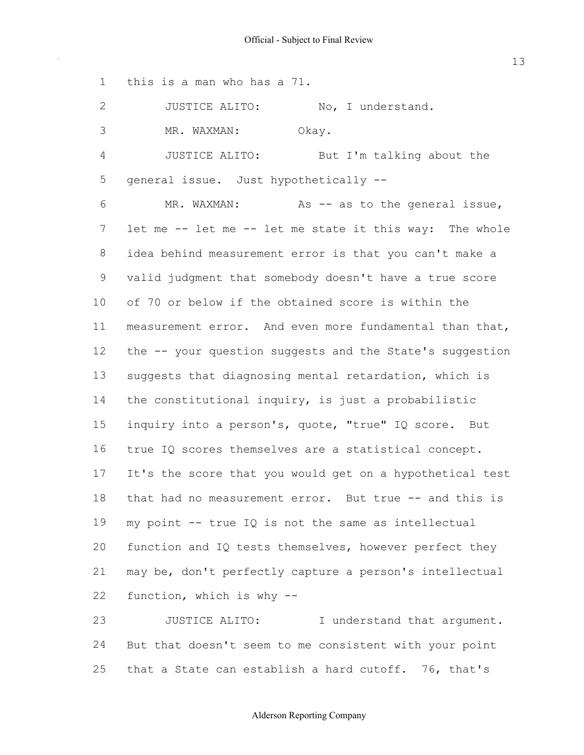this is a man who has a 71.

| $\overline{2}$ | JUSTICE ALITO:<br>No, I understand.                      |
|----------------|----------------------------------------------------------|
| 3              | MR. WAXMAN:<br>Okay.                                     |
| 4              | JUSTICE ALITO:<br>But I'm talking about the              |
| 5              | general issue. Just hypothetically --                    |
| 6              | As $-$ as to the general issue,<br>MR. WAXMAN:           |
| 7              | let me -- let me -- let me state it this way: The whole  |
| 8              | idea behind measurement error is that you can't make a   |
| 9              | valid judgment that somebody doesn't have a true score   |
| 10             | of 70 or below if the obtained score is within the       |
| 11             | measurement error. And even more fundamental than that,  |
| 12             | the -- your question suggests and the State's suggestion |
| 13             | suggests that diagnosing mental retardation, which is    |
| 14             | the constitutional inquiry, is just a probabilistic      |
| 15             | inquiry into a person's, quote, "true" IQ score. But     |
| 16             | true IQ scores themselves are a statistical concept.     |
| 17             | It's the score that you would get on a hypothetical test |
| 18             | that had no measurement error. But true -- and this is   |
| 19             | my point -- true IQ is not the same as intellectual      |
| 20             | function and IQ tests themselves, however perfect they   |
| 21             | may be, don't perfectly capture a person's intellectual  |
| 22             | function, which is why --                                |
| 23             | I understand that argument.<br>JUSTICE ALITO:            |

 But that doesn't seem to me consistent with your point that a State can establish a hard cutoff. 76, that's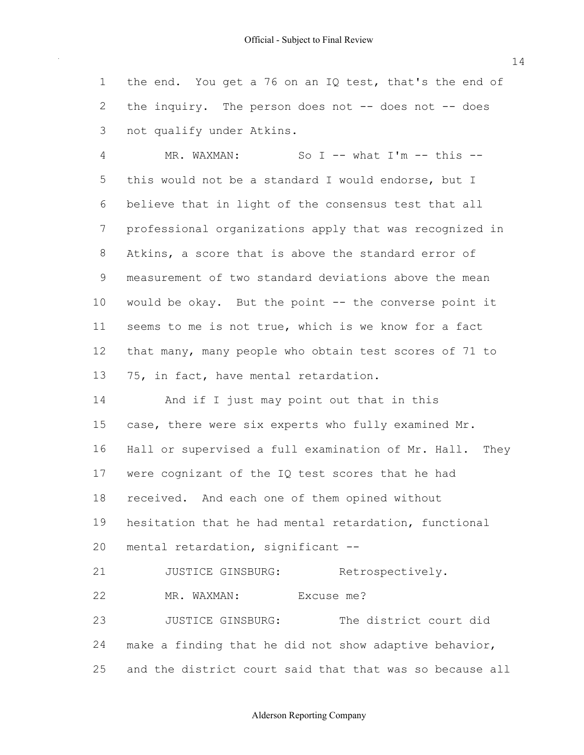the end. You get a 76 on an IQ test, that's the end of 2 the inquiry. The person does not  $-$  does not  $-$  does not qualify under Atkins.

4 MR. WAXMAN: So I -- what I'm -- this -- this would not be a standard I would endorse, but I believe that in light of the consensus test that all professional organizations apply that was recognized in Atkins, a score that is above the standard error of measurement of two standard deviations above the mean 10 would be okay. But the point -- the converse point it seems to me is not true, which is we know for a fact that many, many people who obtain test scores of 71 to 75, in fact, have mental retardation.

 And if I just may point out that in this case, there were six experts who fully examined Mr. Hall or supervised a full examination of Mr. Hall. They were cognizant of the IQ test scores that he had received. And each one of them opined without hesitation that he had mental retardation, functional mental retardation, significant

21 JUSTICE GINSBURG: Retrospectively. 22 MR. WAXMAN: Excuse me?

 JUSTICE GINSBURG: The district court did make a finding that he did not show adaptive behavior, and the district court said that that was so because all

Alderson Reporting Company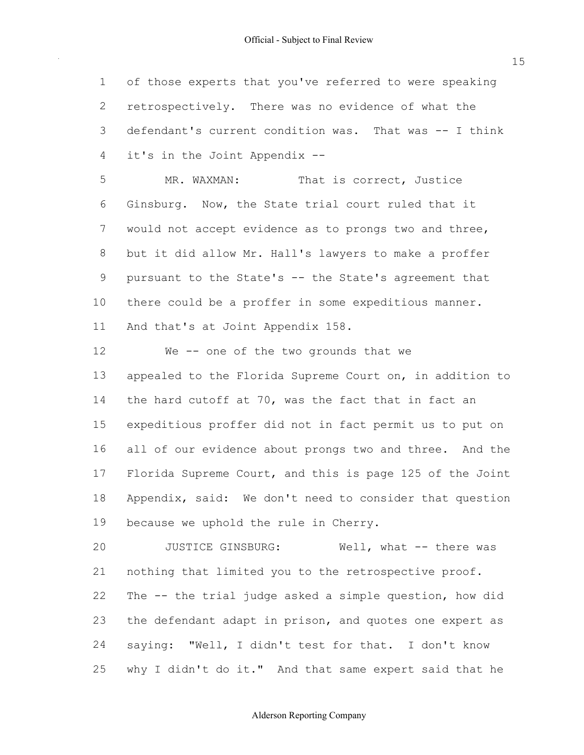of those experts that you've referred to were speaking retrospectively. There was no evidence of what the 3 defendant's current condition was. That was -- I think it's in the Joint Appendix

 MR. WAXMAN: That is correct, Justice Ginsburg. Now, the State trial court ruled that it would not accept evidence as to prongs two and three, but it did allow Mr. Hall's lawyers to make a proffer 9 pursuant to the State's -- the State's agreement that there could be a proffer in some expeditious manner. And that's at Joint Appendix 158.

12 We -- one of the two grounds that we appealed to the Florida Supreme Court on, in addition to the hard cutoff at 70, was the fact that in fact an expeditious proffer did not in fact permit us to put on all of our evidence about prongs two and three. And the Florida Supreme Court, and this is page 125 of the Joint Appendix, said: We don't need to consider that question because we uphold the rule in Cherry.

20 JUSTICE GINSBURG: Well, what -- there was nothing that limited you to the retrospective proof. 22 The -- the trial judge asked a simple question, how did the defendant adapt in prison, and quotes one expert as saying: "Well, I didn't test for that. I don't know 25 why I didn't do it." And that same expert said that he

## Alderson Reporting Company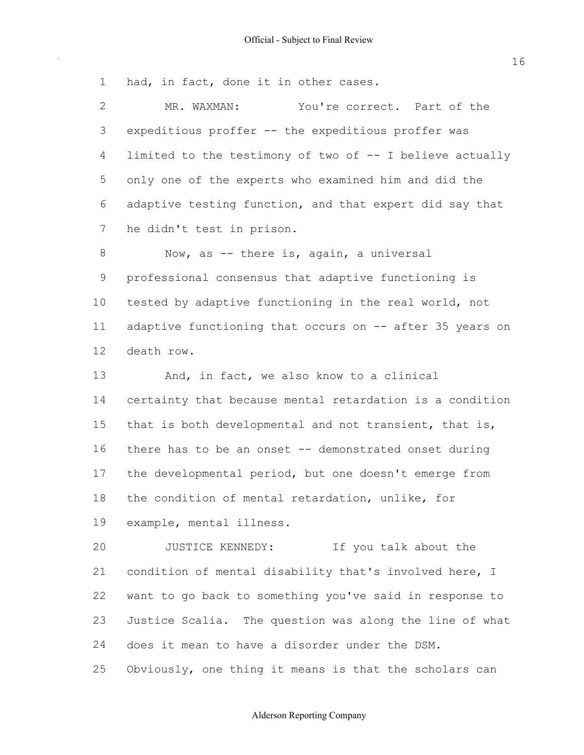had, in fact, done it in other cases. MR. WAXMAN: You're correct. Part of the 3 expeditious proffer -- the expeditious proffer was 4 limited to the testimony of two of -- I believe actually only one of the experts who examined him and did the adaptive testing function, and that expert did say that he didn't test in prison. 8 Now, as -- there is, again, a universal

 professional consensus that adaptive functioning is tested by adaptive functioning in the real world, not 11 adaptive functioning that occurs on -- after 35 years on death row.

13 And, in fact, we also know to a clinical certainty that because mental retardation is a condition that is both developmental and not transient, that is, 16 there has to be an onset -- demonstrated onset during the developmental period, but one doesn't emerge from the condition of mental retardation, unlike, for example, mental illness.

 JUSTICE KENNEDY: If you talk about the condition of mental disability that's involved here, I want to go back to something you've said in response to Justice Scalia. The question was along the line of what does it mean to have a disorder under the DSM. Obviously, one thing it means is that the scholars can

## Alderson Reporting Company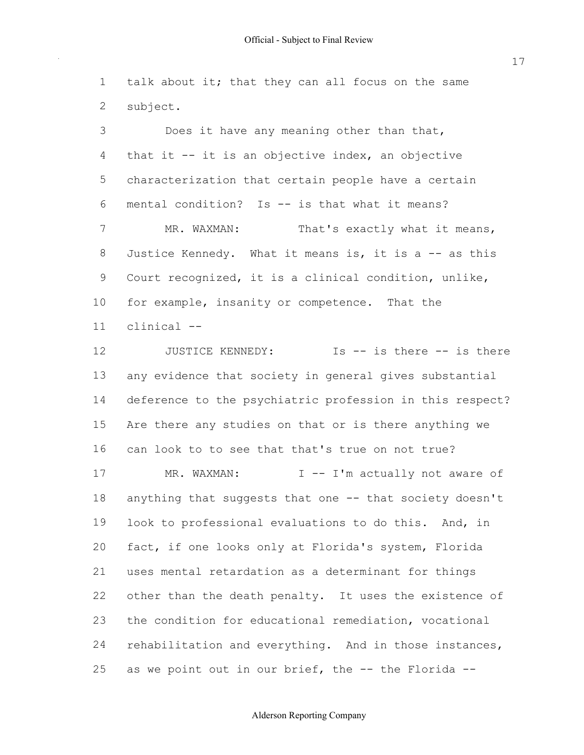talk about it; that they can all focus on the same subject.

 Does it have any meaning other than that, 4 that it -- it is an objective index, an objective characterization that certain people have a certain 6 mental condition? Is  $-$  is that what it means? 7 MR. WAXMAN: That's exactly what it means, 8 Justice Kennedy. What it means is, it is a -- as this Court recognized, it is a clinical condition, unlike, for example, insanity or competence. That the clinical

12 JUSTICE KENNEDY: Is -- is there -- is there any evidence that society in general gives substantial deference to the psychiatric profession in this respect? Are there any studies on that or is there anything we can look to to see that that's true on not true? 17 MR. WAXMAN: I -- I'm actually not aware of 18 anything that suggests that one -- that society doesn't look to professional evaluations to do this. And, in fact, if one looks only at Florida's system, Florida uses mental retardation as a determinant for things other than the death penalty. It uses the existence of the condition for educational remediation, vocational rehabilitation and everything. And in those instances, 25 as we point out in our brief, the  $-$ - the Florida  $-$ -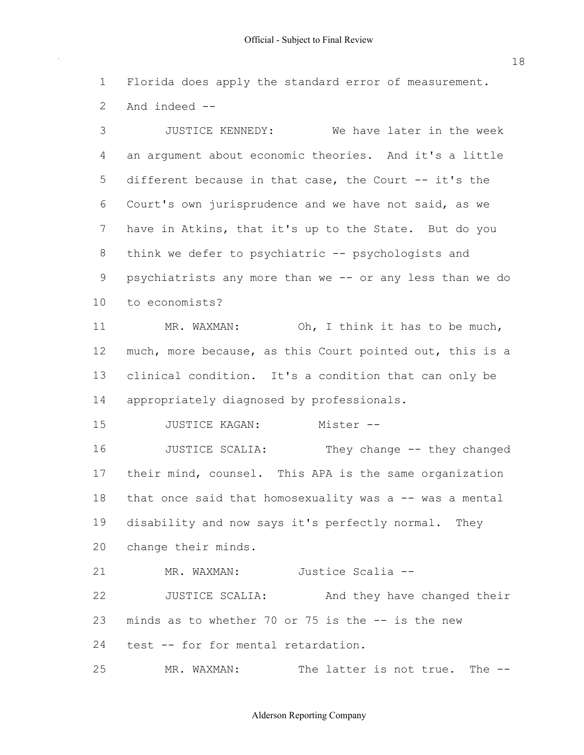Florida does apply the standard error of measurement. And indeed

 JUSTICE KENNEDY: We have later in the week an argument about economic theories. And it's a little 5 different because in that case, the Court -- it's the Court's own jurisprudence and we have not said, as we have in Atkins, that it's up to the State. But do you 8 think we defer to psychiatric -- psychologists and 9 psychiatrists any more than we -- or any less than we do to economists? 11 MR. WAXMAN: Oh, I think it has to be much, much, more because, as this Court pointed out, this is a clinical condition. It's a condition that can only be appropriately diagnosed by professionals. 15 JUSTICE KAGAN: Mister --**JUSTICE SCALIA:** They change -- they changed their mind, counsel. This APA is the same organization 18 that once said that homosexuality was a  $-$  was a mental disability and now says it's perfectly normal. They change their minds. 21 MR. WAXMAN: Justice Scalia --JUSTICE SCALIA: And they have changed their

24 test -- for for mental retardation.

MR. WAXMAN: The latter is not true. The

23 minds as to whether 70 or 75 is the  $--$  is the new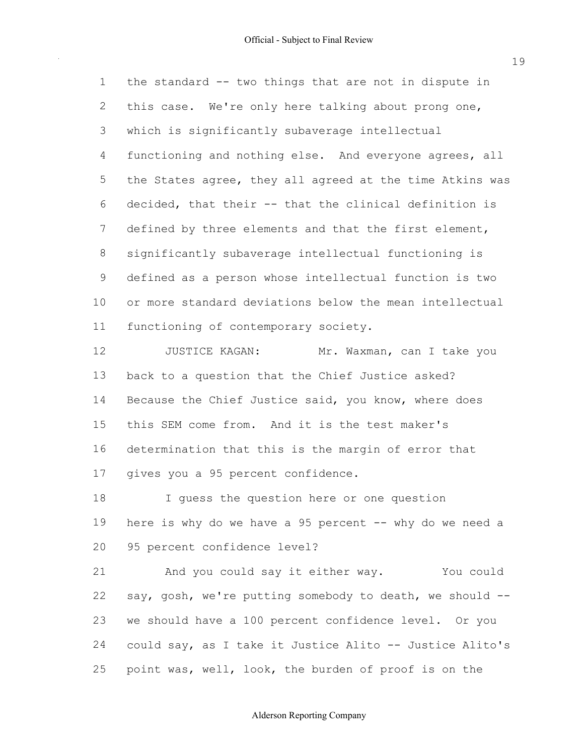1 the standard -- two things that are not in dispute in this case. We're only here talking about prong one, which is significantly subaverage intellectual functioning and nothing else. And everyone agrees, all the States agree, they all agreed at the time Atkins was 6 decided, that their -- that the clinical definition is defined by three elements and that the first element, significantly subaverage intellectual functioning is defined as a person whose intellectual function is two or more standard deviations below the mean intellectual functioning of contemporary society.

12 JUSTICE KAGAN: Mr. Waxman, can I take you back to a question that the Chief Justice asked? Because the Chief Justice said, you know, where does this SEM come from. And it is the test maker's determination that this is the margin of error that gives you a 95 percent confidence.

18 I guess the question here or one question 19 here is why do we have a 95 percent -- why do we need a 95 percent confidence level?

21 And you could say it either way. You could say, gosh, we're putting somebody to death, we should we should have a 100 percent confidence level. Or you 24 could say, as I take it Justice Alito -- Justice Alito's point was, well, look, the burden of proof is on the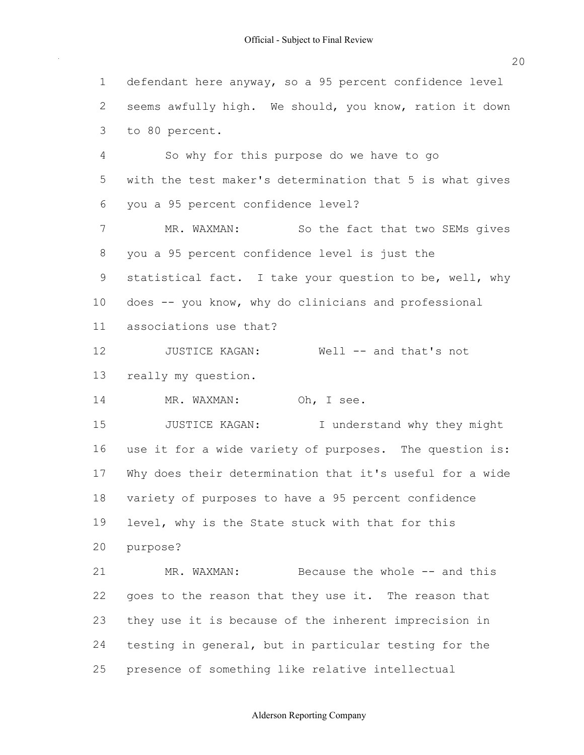defendant here anyway, so a 95 percent confidence level seems awfully high. We should, you know, ration it down to 80 percent. So why for this purpose do we have to go with the test maker's determination that 5 is what gives you a 95 percent confidence level? 7 MR. WAXMAN: So the fact that two SEMs gives you a 95 percent confidence level is just the statistical fact. I take your question to be, well, why 10 does -- you know, why do clinicians and professional associations use that? 12 JUSTICE KAGAN: Well -- and that's not really my question. 14 MR. WAXMAN: Oh, I see. 15 JUSTICE KAGAN: I understand why they might use it for a wide variety of purposes. The question is: Why does their determination that it's useful for a wide variety of purposes to have a 95 percent confidence level, why is the State stuck with that for this purpose? 21 MR. WAXMAN: Because the whole -- and this goes to the reason that they use it. The reason that they use it is because of the inherent imprecision in testing in general, but in particular testing for the presence of something like relative intellectual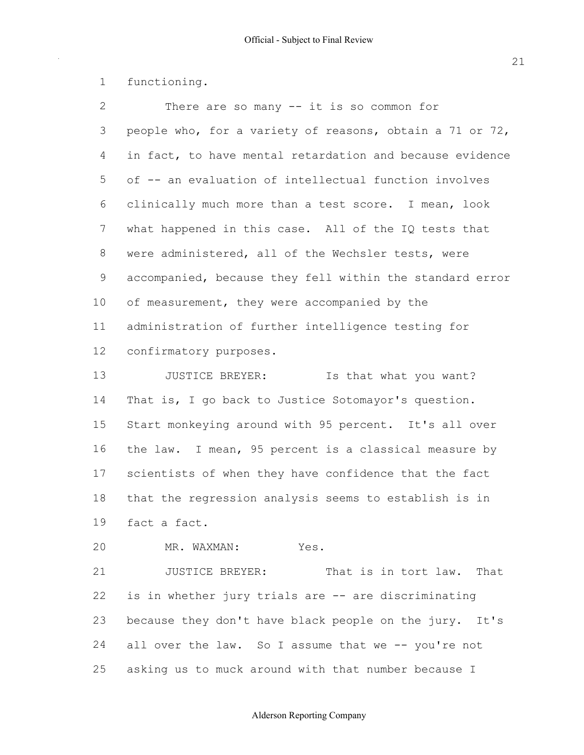functioning.

2 There are so many -- it is so common for people who, for a variety of reasons, obtain a 71 or 72, in fact, to have mental retardation and because evidence 5 of  $-$  an evaluation of intellectual function involves clinically much more than a test score. I mean, look what happened in this case. All of the IQ tests that were administered, all of the Wechsler tests, were accompanied, because they fell within the standard error 10 of measurement, they were accompanied by the administration of further intelligence testing for confirmatory purposes. **JUSTICE BREYER:** Is that what you want? That is, I go back to Justice Sotomayor's question. Start monkeying around with 95 percent. It's all over the law. I mean, 95 percent is a classical measure by scientists of when they have confidence that the fact that the regression analysis seems to establish is in

fact a fact.

MR. WAXMAN: Yes.

 JUSTICE BREYER: That is in tort law. That is in whether jury trials are  $-$  are discriminating because they don't have black people on the jury. It's 24 all over the law. So I assume that we  $-$  you're not asking us to muck around with that number because I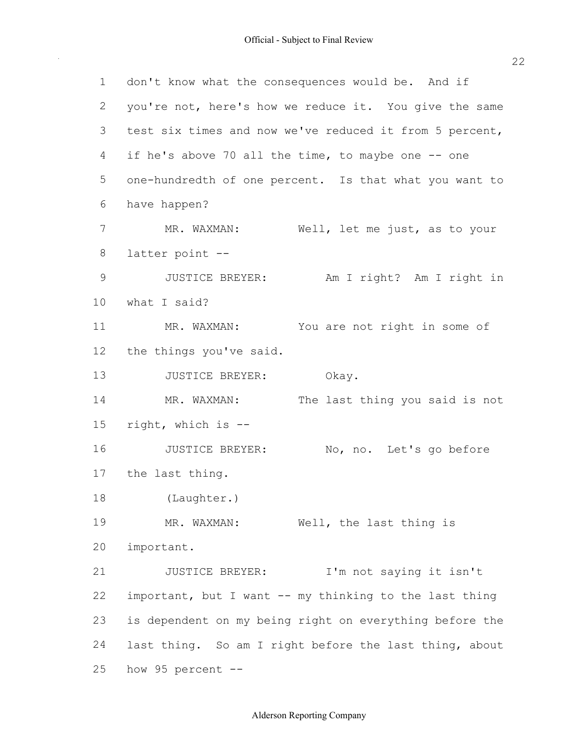| $\mathbf 1$ | don't know what the consequences would be. And if       |
|-------------|---------------------------------------------------------|
| 2           | you're not, here's how we reduce it. You give the same  |
| 3           | test six times and now we've reduced it from 5 percent, |
| 4           | if he's above 70 all the time, to maybe one -- one      |
| 5           | one-hundredth of one percent. Is that what you want to  |
| 6           | have happen?                                            |
| 7           | MR. WAXMAN: Well, let me just, as to your               |
| $8\,$       | latter point --                                         |
| $\mathsf 9$ | JUSTICE BREYER:<br>Am I right? Am I right in            |
| 10          | what I said?                                            |
| 11          | You are not right in some of<br>MR. WAXMAN:             |
| 12          | the things you've said.                                 |
| 13          | JUSTICE BREYER:<br>Okay.                                |
| 14          | The last thing you said is not<br>MR. WAXMAN:           |
| 15          | right, which is --                                      |
| 16          | JUSTICE BREYER:<br>No, no. Let's go before              |
| 17          | the last thing.                                         |
| 18          | (Laughter.)                                             |
| 19          | Well, the last thing is<br>MR. WAXMAN:                  |
| 20          | important.                                              |
| 21          | I'm not saying it isn't<br>JUSTICE BREYER:              |
| 22          | important, but I want -- my thinking to the last thing  |
| 23          | is dependent on my being right on everything before the |
| 24          | last thing. So am I right before the last thing, about  |
| 25          | how 95 percent --                                       |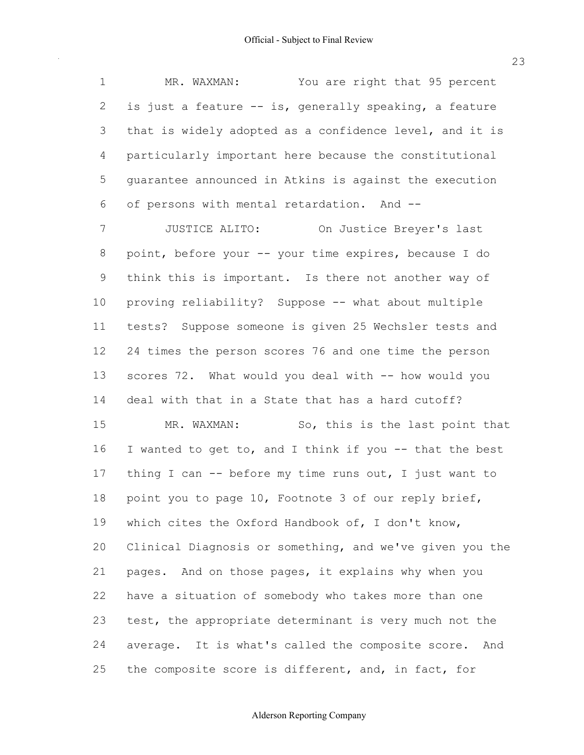| $\mathbf 1$  | You are right that 95 percent<br>MR. WAXMAN:             |
|--------------|----------------------------------------------------------|
| $\mathbf{2}$ | is just a feature -- is, generally speaking, a feature   |
| 3            | that is widely adopted as a confidence level, and it is  |
| 4            | particularly important here because the constitutional   |
| 5            | quarantee announced in Atkins is against the execution   |
| 6            | of persons with mental retardation. And --               |
| 7            | JUSTICE ALITO: On Justice Breyer's last                  |
| 8            | point, before your -- your time expires, because I do    |
| 9            | think this is important. Is there not another way of     |
| 10           | proving reliability? Suppose -- what about multiple      |
| 11           | tests? Suppose someone is given 25 Wechsler tests and    |
| 12           | 24 times the person scores 76 and one time the person    |
| 13           | scores 72. What would you deal with -- how would you     |
| 14           | deal with that in a State that has a hard cutoff?        |
| 15           | So, this is the last point that<br>MR. WAXMAN:           |
| 16           | I wanted to get to, and I think if you -- that the best  |
| 17           | thing I can -- before my time runs out, I just want to   |
| 18           | point you to page 10, Footnote 3 of our reply brief,     |
| 19           | which cites the Oxford Handbook of, I don't know,        |
| 20           | Clinical Diagnosis or something, and we've given you the |
| 21           | pages. And on those pages, it explains why when you      |
| 22           | have a situation of somebody who takes more than one     |
| 23           | test, the appropriate determinant is very much not the   |
| 24           | average. It is what's called the composite score. And    |
| 25           | the composite score is different, and, in fact, for      |

Alderson Reporting Company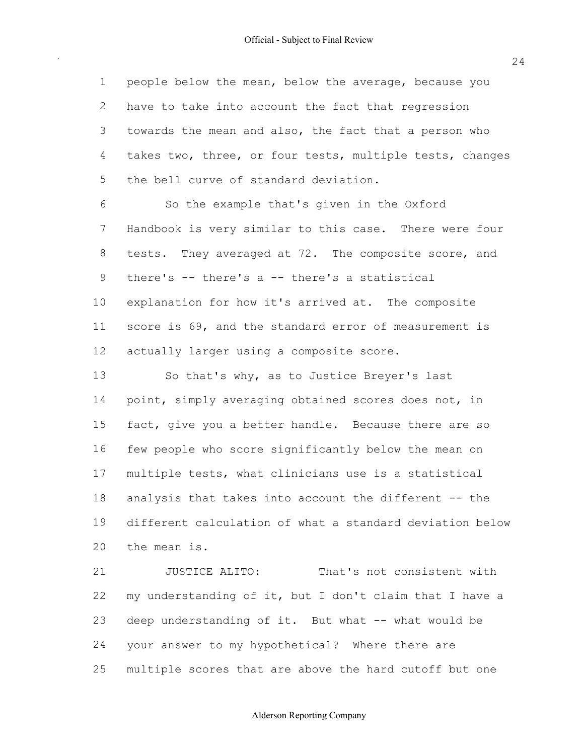people below the mean, below the average, because you have to take into account the fact that regression towards the mean and also, the fact that a person who takes two, three, or four tests, multiple tests, changes the bell curve of standard deviation.

 So the example that's given in the Oxford Handbook is very similar to this case. There were four tests. They averaged at 72. The composite score, and 9 there's  $-$  there's a  $-$  there's a statistical explanation for how it's arrived at. The composite score is 69, and the standard error of measurement is actually larger using a composite score.

 So that's why, as to Justice Breyer's last point, simply averaging obtained scores does not, in fact, give you a better handle. Because there are so few people who score significantly below the mean on multiple tests, what clinicians use is a statistical 18 analysis that takes into account the different -- the different calculation of what a standard deviation below the mean is.

 JUSTICE ALITO: That's not consistent with my understanding of it, but I don't claim that I have a 23 deep understanding of it. But what -- what would be your answer to my hypothetical? Where there are multiple scores that are above the hard cutoff but one

####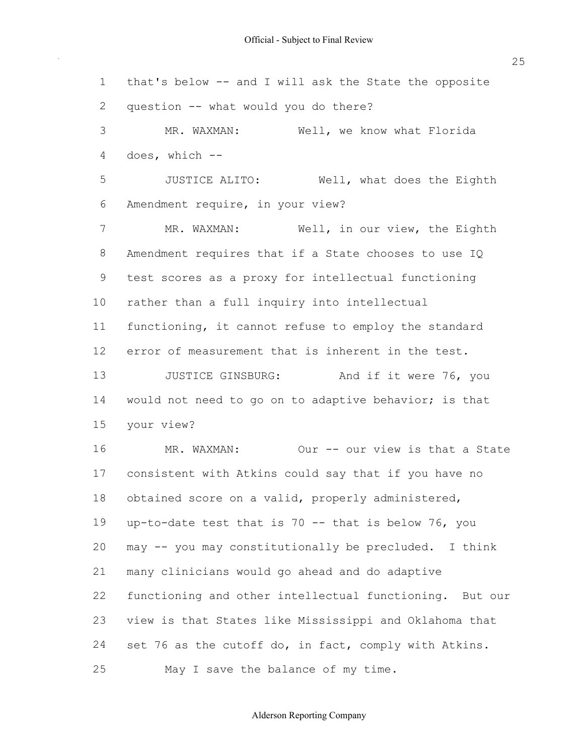1 that's below -- and I will ask the State the opposite 2 question -- what would you do there? MR. WAXMAN: Well, we know what Florida does, which JUSTICE ALITO: Well, what does the Eighth Amendment require, in your view? 7 MR. WAXMAN: Well, in our view, the Eighth Amendment requires that if a State chooses to use IQ test scores as a proxy for intellectual functioning rather than a full inquiry into intellectual functioning, it cannot refuse to employ the standard error of measurement that is inherent in the test. JUSTICE GINSBURG: And if it were 76, you 14 would not need to go on to adaptive behavior; is that your view? 16 MR. WAXMAN: Our -- our view is that a State consistent with Atkins could say that if you have no obtained score on a valid, properly administered, 19 up-to-date test that is 70 -- that is below 76, you may  $-$  you may constitutionally be precluded. I think many clinicians would go ahead and do adaptive functioning and other intellectual functioning. But our view is that States like Mississippi and Oklahoma that set 76 as the cutoff do, in fact, comply with Atkins. 25 May I save the balance of my time.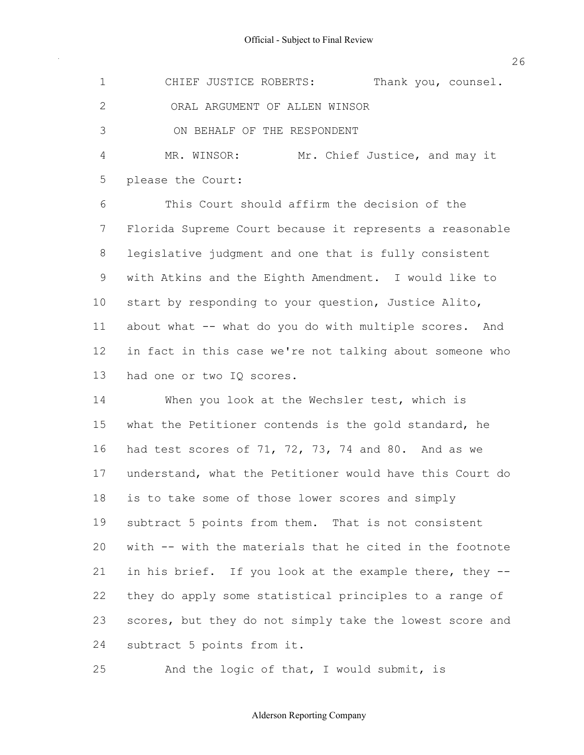CHIEF JUSTICE ROBERTS: Thank you, counsel. ORAL ARGUMENT OF ALLEN WINSOR ON BEHALF OF THE RESPONDENT MR. WINSOR: Mr. Chief Justice, and may it please the Court:

 This Court should affirm the decision of the Florida Supreme Court because it represents a reasonable legislative judgment and one that is fully consistent with Atkins and the Eighth Amendment. I would like to start by responding to your question, Justice Alito, 11 about what -- what do you do with multiple scores. And in fact in this case we're not talking about someone who had one or two IQ scores.

 When you look at the Wechsler test, which is what the Petitioner contends is the gold standard, he had test scores of 71, 72, 73, 74 and 80. And as we understand, what the Petitioner would have this Court do is to take some of those lower scores and simply subtract 5 points from them. That is not consistent with  $-$ - with the materials that he cited in the footnote 21 in his brief. If you look at the example there, they -- they do apply some statistical principles to a range of scores, but they do not simply take the lowest score and subtract 5 points from it.

25 And the logic of that, I would submit, is

#### Alderson Reporting Company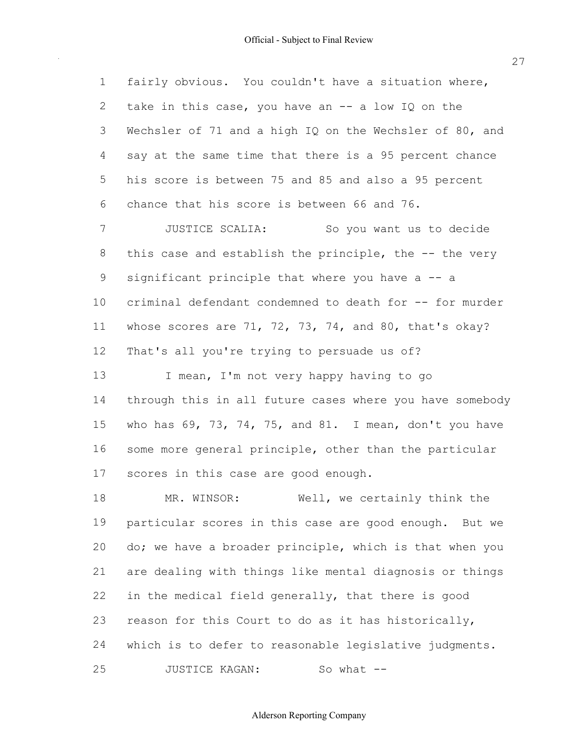fairly obvious. You couldn't have a situation where, 2 take in this case, you have an  $-$  a low IQ on the Wechsler of 71 and a high IQ on the Wechsler of 80, and say at the same time that there is a 95 percent chance his score is between 75 and 85 and also a 95 percent chance that his score is between 66 and 76.

 JUSTICE SCALIA: So you want us to decide 8 this case and establish the principle, the -- the very 9 significant principle that where you have  $a - a$ 10 criminal defendant condemned to death for -- for murder whose scores are 71, 72, 73, 74, and 80, that's okay? That's all you're trying to persuade us of?

13 I mean, I'm not very happy having to go through this in all future cases where you have somebody who has 69, 73, 74, 75, and 81. I mean, don't you have some more general principle, other than the particular scores in this case are good enough.

18 MR. WINSOR: Well, we certainly think the particular scores in this case are good enough. But we do; we have a broader principle, which is that when you are dealing with things like mental diagnosis or things in the medical field generally, that there is good reason for this Court to do as it has historically, which is to defer to reasonable legislative judgments. 25 JUSTICE KAGAN: So what --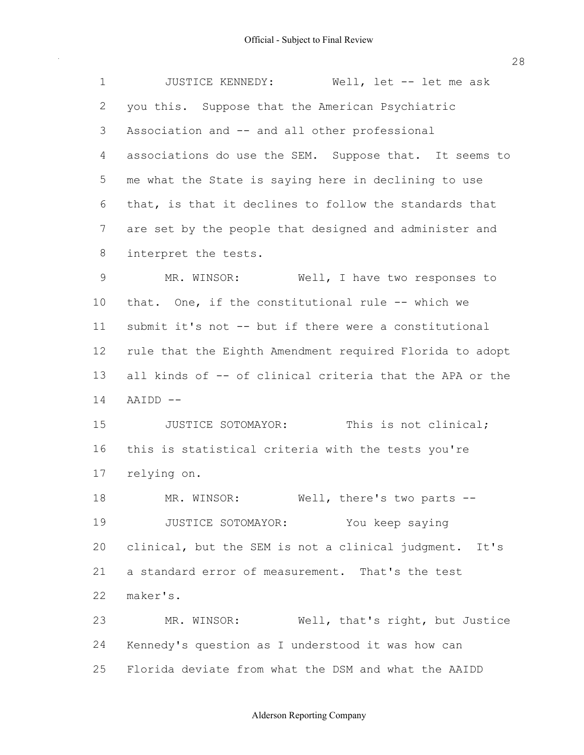| $\mathbf 1$    | JUSTICE KENNEDY:<br>Well, let -- let me ask              |
|----------------|----------------------------------------------------------|
| $\overline{2}$ | you this. Suppose that the American Psychiatric          |
| 3              | Association and -- and all other professional            |
| 4              | associations do use the SEM. Suppose that. It seems to   |
| 5              | me what the State is saying here in declining to use     |
| 6              | that, is that it declines to follow the standards that   |
| 7              | are set by the people that designed and administer and   |
| 8              | interpret the tests.                                     |
| 9              | MR. WINSOR:<br>Well, I have two responses to             |
| 10             | that. One, if the constitutional rule -- which we        |
| 11             | submit it's not -- but if there were a constitutional    |
| 12             | rule that the Eighth Amendment required Florida to adopt |
| 13             | all kinds of -- of clinical criteria that the APA or the |
| 14             | AAIDD --                                                 |
| 15             | JUSTICE SOTOMAYOR: This is not clinical;                 |
| 16             | this is statistical criteria with the tests you're       |
| 17             | relying on.                                              |
| 18             | Well, there's two parts --<br>MR. WINSOR:                |
| 19             | JUSTICE SOTOMAYOR: You keep saying                       |
| 20             | clinical, but the SEM is not a clinical judgment. It's   |
| 21             | a standard error of measurement. That's the test         |
| 22             | maker's.                                                 |
| 23             | MR. WINSOR: Well, that's right, but Justice              |
| 24             | Kennedy's question as I understood it was how can        |
| 25             | Florida deviate from what the DSM and what the AAIDD     |

# Alderson Reporting Company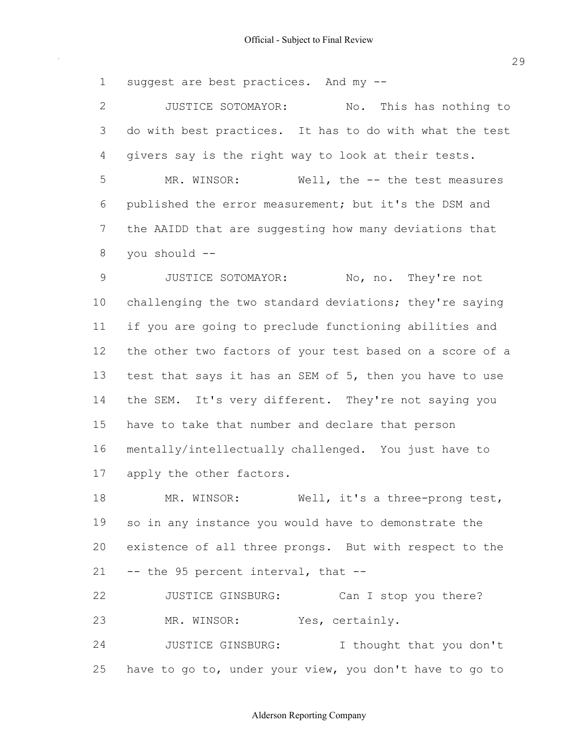1 suggest are best practices. And my --

 JUSTICE SOTOMAYOR: No. This has nothing to do with best practices. It has to do with what the test givers say is the right way to look at their tests. 5 MR. WINSOR: Well, the -- the test measures published the error measurement; but it's the DSM and the AAIDD that are suggesting how many deviations that

you should

 JUSTICE SOTOMAYOR: No, no. They're not challenging the two standard deviations; they're saying if you are going to preclude functioning abilities and the other two factors of your test based on a score of a test that says it has an SEM of 5, then you have to use the SEM. It's very different. They're not saying you have to take that number and declare that person mentally/intellectually challenged. You just have to apply the other factors.

18 MR. WINSOR: Well, it's a three-prong test, so in any instance you would have to demonstrate the existence of all three prongs. But with respect to the -- the 95 percent interval, that --

 JUSTICE GINSBURG: Can I stop you there? 23 MR. WINSOR: Yes, certainly. JUSTICE GINSBURG: I thought that you don't

have to go to, under your view, you don't have to go to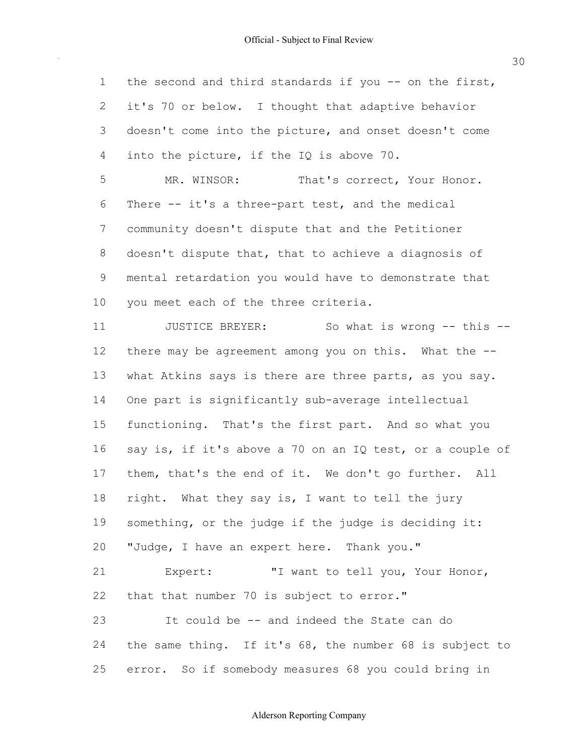| $\mathbf 1$ | the second and third standards if you -- on the first,   |
|-------------|----------------------------------------------------------|
| 2           | it's 70 or below. I thought that adaptive behavior       |
| 3           | doesn't come into the picture, and onset doesn't come    |
| 4           | into the picture, if the IQ is above 70.                 |
| 5           | MR. WINSOR:<br>That's correct, Your Honor.               |
| 6           | There -- it's a three-part test, and the medical         |
| 7           | community doesn't dispute that and the Petitioner        |
| 8           | doesn't dispute that, that to achieve a diagnosis of     |
| 9           | mental retardation you would have to demonstrate that    |
| 10          | you meet each of the three criteria.                     |
| 11          | JUSTICE BREYER:<br>So what is wrong -- this -<br>$ -$    |
| 12          | there may be agreement among you on this. What the --    |
| 13          | what Atkins says is there are three parts, as you say.   |
| 14          | One part is significantly sub-average intellectual       |
| 15          | functioning. That's the first part. And so what you      |
| 16          | say is, if it's above a 70 on an IQ test, or a couple of |
| 17          | them, that's the end of it. We don't go further. All     |
| 18          | right. What they say is, I want to tell the jury         |
| 19          | something, or the judge if the judge is deciding it:     |
| 20          | "Judge, I have an expert here. Thank you."               |
| 21          | Expert:<br>"I want to tell you, Your Honor,              |
| 22          | that that number 70 is subject to error."                |
| 23          | It could be -- and indeed the State can do               |
| 24          | the same thing. If it's 68, the number 68 is subject to  |
| 25          | error. So if somebody measures 68 you could bring in     |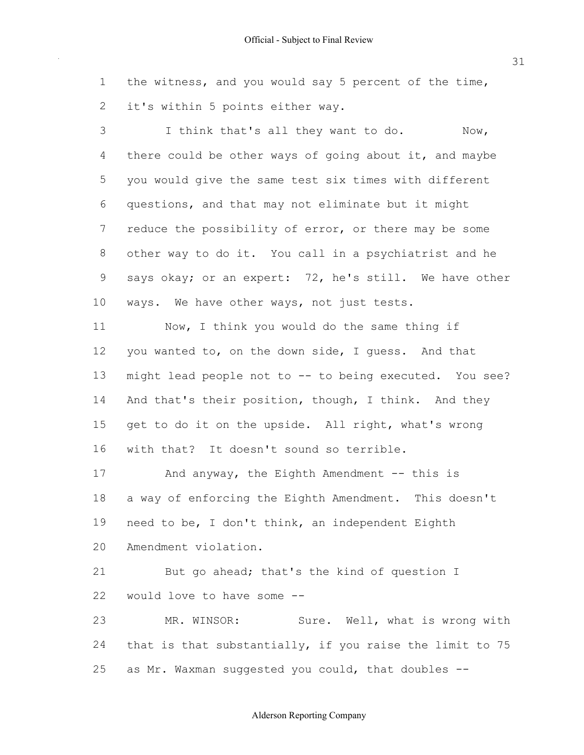the witness, and you would say 5 percent of the time, it's within 5 points either way.

3 I think that's all they want to do. Now, there could be other ways of going about it, and maybe you would give the same test six times with different questions, and that may not eliminate but it might 7 reduce the possibility of error, or there may be some other way to do it. You call in a psychiatrist and he says okay; or an expert: 72, he's still. We have other ways. We have other ways, not just tests.

 Now, I think you would do the same thing if you wanted to, on the down side, I guess. And that 13 might lead people not to -- to being executed. You see? And that's their position, though, I think. And they get to do it on the upside. All right, what's wrong with that? It doesn't sound so terrible.

17 And anyway, the Eighth Amendment -- this is a way of enforcing the Eighth Amendment. This doesn't need to be, I don't think, an independent Eighth Amendment violation.

21 But go ahead; that's the kind of question I would love to have some

23 MR. WINSOR: Sure. Well, what is wrong with that is that substantially, if you raise the limit to 75 25 as Mr. Waxman suggested you could, that doubles --

#### Alderson Reporting Company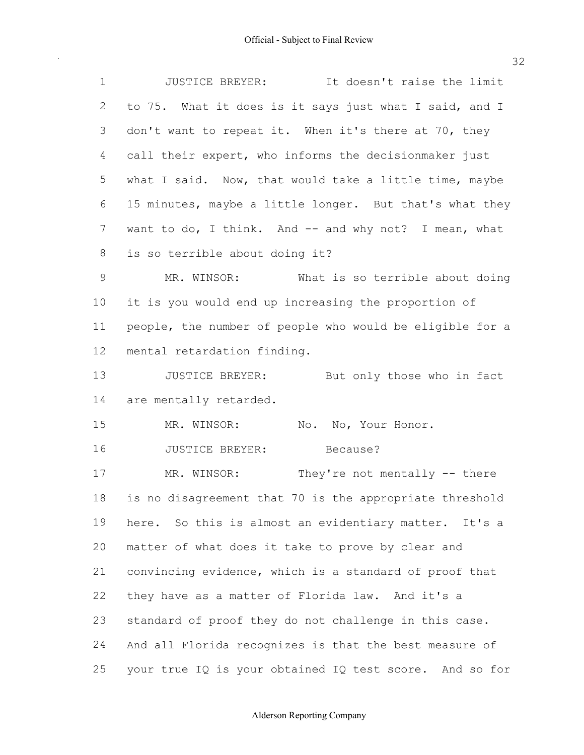| $\mathbf 1$  | It doesn't raise the limit<br>JUSTICE BREYER:            |
|--------------|----------------------------------------------------------|
| $\mathbf{2}$ | to 75. What it does is it says just what I said, and I   |
| 3            | don't want to repeat it. When it's there at 70, they     |
| 4            | call their expert, who informs the decisionmaker just    |
| 5            | what I said. Now, that would take a little time, maybe   |
| 6            | 15 minutes, maybe a little longer. But that's what they  |
| 7            | want to do, I think. And -- and why not? I mean, what    |
| 8            | is so terrible about doing it?                           |
| 9            | MR. WINSOR: What is so terrible about doing              |
| 10           | it is you would end up increasing the proportion of      |
| 11           | people, the number of people who would be eligible for a |
| 12           | mental retardation finding.                              |
| 13           | JUSTICE BREYER: But only those who in fact               |
| 14           | are mentally retarded.                                   |
| 15           | MR. WINSOR:<br>No. No, Your Honor.                       |
| 16           | JUSTICE BREYER:<br>Because?                              |
| 17           | MR. WINSOR: They're not mentally -- there                |
| 18           | is no disagreement that 70 is the appropriate threshold  |
| 19           | here. So this is almost an evidentiary matter. It's a    |
| 20           | matter of what does it take to prove by clear and        |
| 21           | convincing evidence, which is a standard of proof that   |
| 22           | they have as a matter of Florida law. And it's a         |
| 23           | standard of proof they do not challenge in this case.    |
| 24           | And all Florida recognizes is that the best measure of   |
| 25           | your true IQ is your obtained IQ test score. And so for  |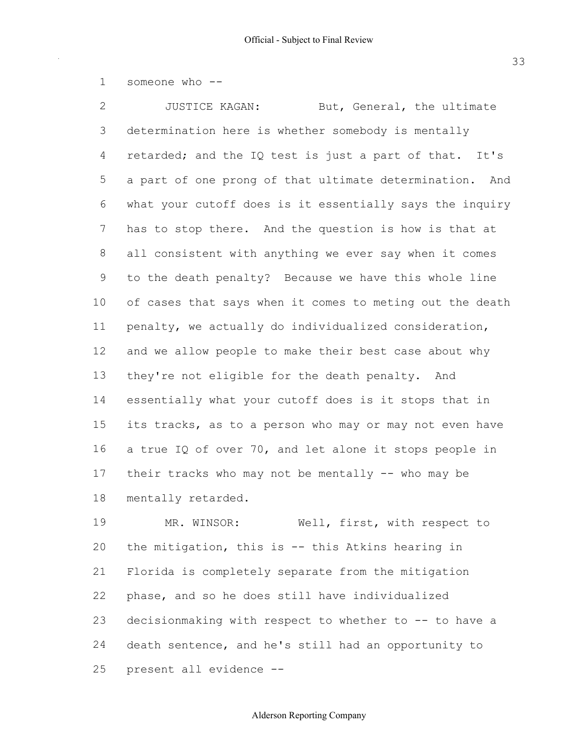someone who

2 JUSTICE KAGAN: But, General, the ultimate determination here is whether somebody is mentally retarded; and the IQ test is just a part of that. It's a part of one prong of that ultimate determination. And what your cutoff does is it essentially says the inquiry has to stop there. And the question is how is that at all consistent with anything we ever say when it comes to the death penalty? Because we have this whole line of cases that says when it comes to meting out the death penalty, we actually do individualized consideration, and we allow people to make their best case about why they're not eligible for the death penalty. And essentially what your cutoff does is it stops that in its tracks, as to a person who may or may not even have a true IQ of over 70, and let alone it stops people in 17 their tracks who may not be mentally  $-$ - who may be mentally retarded.

19 MR. WINSOR: Well, first, with respect to 20 the mitigation, this is  $-$  this Atkins hearing in Florida is completely separate from the mitigation phase, and so he does still have individualized 23 decisionmaking with respect to whether to  $-$ - to have a death sentence, and he's still had an opportunity to present all evidence

## Alderson Reporting Company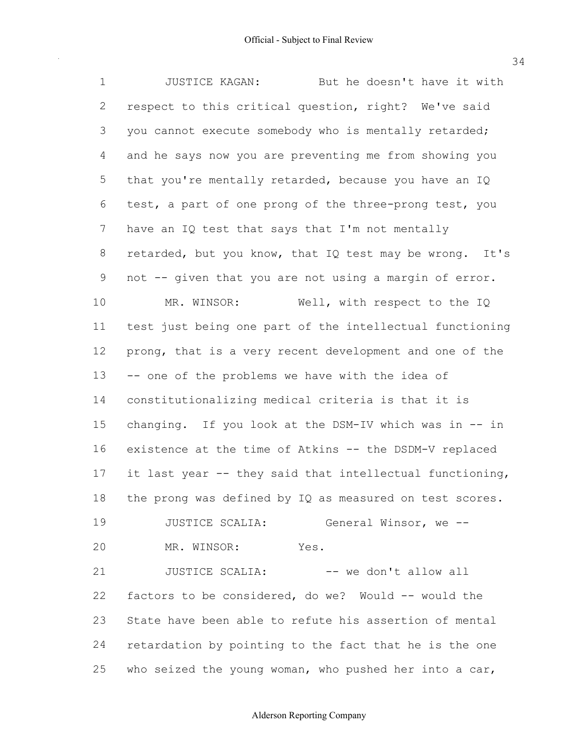1 JUSTICE KAGAN: But he doesn't have it with 2 respect to this critical question, right? We've said 3 you cannot execute somebody who is mentally retarded; 4 and he says now you are preventing me from showing you 5 that you're mentally retarded, because you have an IQ 6 test, a part of one prong of the three-prong test, you 7 have an IQ test that says that I'm not mentally 8 retarded, but you know, that IQ test may be wrong. It's 9 not -- given that you are not using a margin of error. 10 MR. WINSOR: Well, with respect to the IQ 11 test just being one part of the intellectual functioning 12 prong, that is a very recent development and one of the  $13$  -- one of the problems we have with the idea of 14 constitutionalizing medical criteria is that it is 15 changing. If you look at the DSM-IV which was in  $-$  in 16 existence at the time of Atkins -- the DSDM-V replaced 17 it last year  $-$  they said that intellectual functioning, 18 the prong was defined by IQ as measured on test scores. 19 **JUSTICE SCALIA:** General Winsor, we --20 MR. WINSOR: Yes. 21 JUSTICE SCALIA:  $--$  we don't allow all 22 factors to be considered, do we? Would  $--$  would the 23 State have been able to refute his assertion of mental 24 retardation by pointing to the fact that he is the one 25 who seized the young woman, who pushed her into a car,

34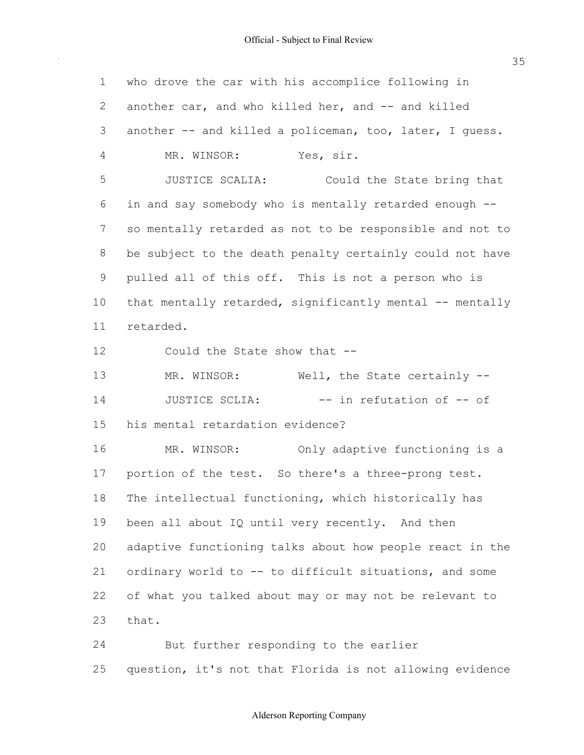| $\mathbf 1$ | who drove the car with his accomplice following in       |
|-------------|----------------------------------------------------------|
| 2           | another car, and who killed her, and -- and killed       |
| 3           | another -- and killed a policeman, too, later, I quess.  |
| 4           | MR. WINSOR:<br>Yes, sir.                                 |
| 5           | JUSTICE SCALIA:<br>Could the State bring that            |
| 6           | in and say somebody who is mentally retarded enough --   |
| 7           | so mentally retarded as not to be responsible and not to |
| 8           | be subject to the death penalty certainly could not have |
| $\mathsf 9$ | pulled all of this off. This is not a person who is      |
| 10          | that mentally retarded, significantly mental -- mentally |
| 11          | retarded.                                                |
| 12          | Could the State show that --                             |
| 13          | Well, the State certainly --<br>MR. WINSOR:              |
| 14          | -- in refutation of -- of<br>JUSTICE SCLIA:              |
| 15          | his mental retardation evidence?                         |
| 16          | Only adaptive functioning is a<br>MR. WINSOR:            |
| 17          | portion of the test. So there's a three-prong test.      |
| 18          | The intellectual functioning, which historically has     |
| 19          | been all about IQ until very recently. And then          |
| 20          | adaptive functioning talks about how people react in the |
| 21          | ordinary world to -- to difficult situations, and some   |
| 22          | of what you talked about may or may not be relevant to   |
| 23          | that.                                                    |
| 24          | But further responding to the earlier                    |
| 25          | question, it's not that Florida is not allowing evidence |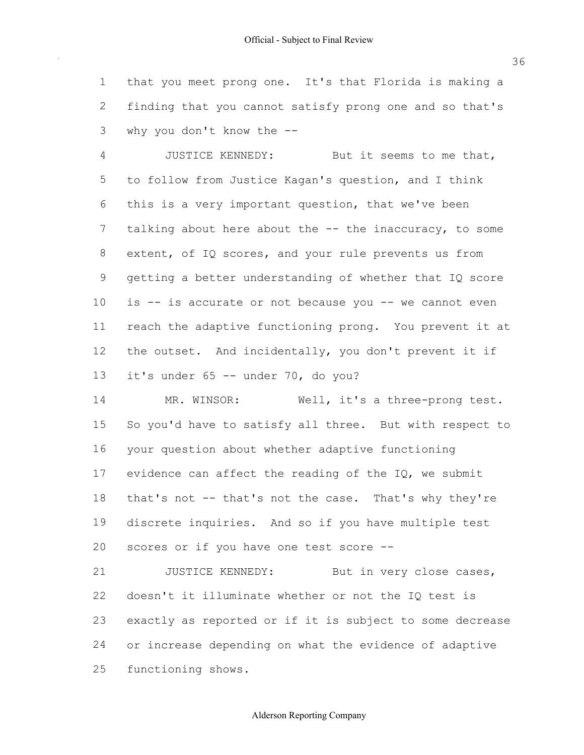that you meet prong one. It's that Florida is making a finding that you cannot satisfy prong one and so that's why you don't know the

 JUSTICE KENNEDY: But it seems to me that, to follow from Justice Kagan's question, and I think this is a very important question, that we've been 7 talking about here about the -- the inaccuracy, to some extent, of IQ scores, and your rule prevents us from getting a better understanding of whether that IQ score 10 is -- is accurate or not because you -- we cannot even reach the adaptive functioning prong. You prevent it at the outset. And incidentally, you don't prevent it if 13 it's under -- under  $70$ , do you?

14 MR. WINSOR: Well, it's a three-prong test. So you'd have to satisfy all three. But with respect to your question about whether adaptive functioning evidence can affect the reading of the IQ, we submit 18 that's not -- that's not the case. That's why they're discrete inquiries. And so if you have multiple test scores or if you have one test score

**JUSTICE KENNEDY:** But in very close cases, doesn't it illuminate whether or not the IQ test is exactly as reported or if it is subject to some decrease or increase depending on what the evidence of adaptive functioning shows.

## Alderson Reporting Company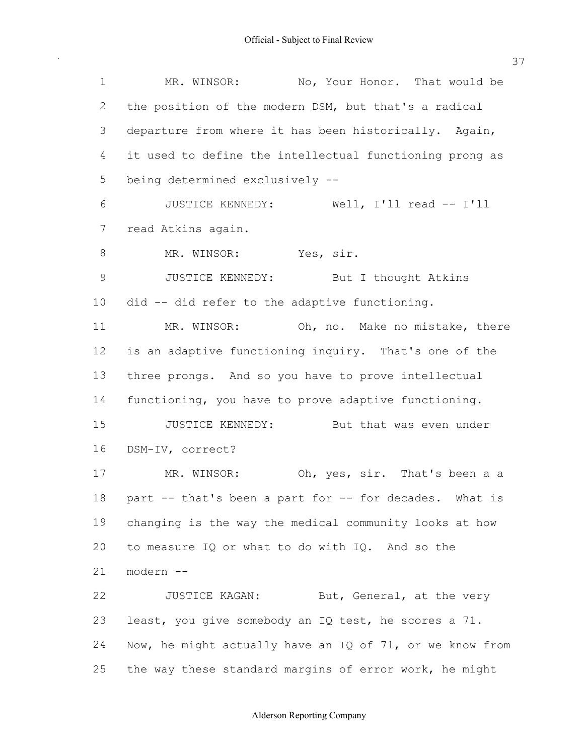1 MR. WINSOR: No, Your Honor. That would be the position of the modern DSM, but that's a radical departure from where it has been historically. Again, it used to define the intellectual functioning prong as being determined exclusively 6 JUSTICE KENNEDY: Well, I'll read -- I'll read Atkins again. 8 MR. WINSOR: Yes, sir. 9 JUSTICE KENNEDY: But I thought Atkins 10 did -- did refer to the adaptive functioning. MR. WINSOR: Oh, no. Make no mistake, there is an adaptive functioning inquiry. That's one of the three prongs. And so you have to prove intellectual functioning, you have to prove adaptive functioning. 15 JUSTICE KENNEDY: But that was even under 16 DSM-IV, correct? MR. WINSOR: Oh, yes, sir. That's been a a 18 part -- that's been a part for -- for decades. What is changing is the way the medical community looks at how to measure IQ or what to do with IQ. And so the modern **JUSTICE KAGAN:** But, General, at the very least, you give somebody an IQ test, he scores a 71. Now, he might actually have an IQ of 71, or we know from the way these standard margins of error work, he might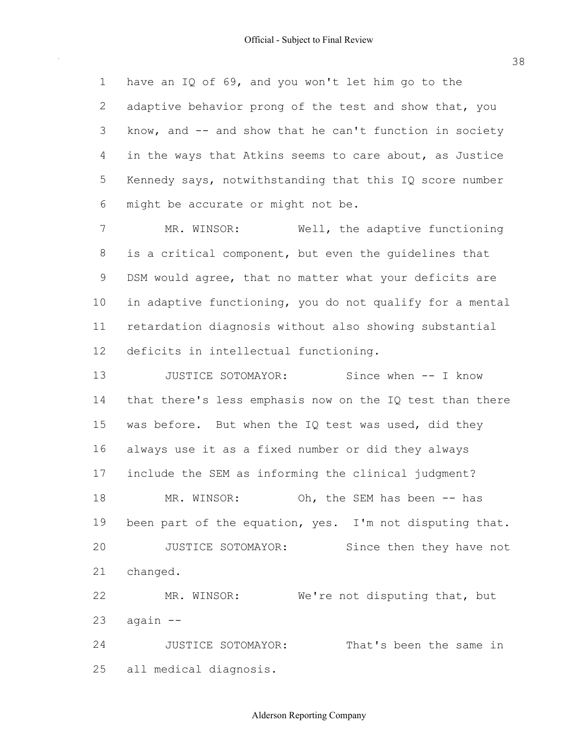have an IQ of 69, and you won't let him go to the adaptive behavior prong of the test and show that, you know, and  $-$  and show that he can't function in society in the ways that Atkins seems to care about, as Justice Kennedy says, notwithstanding that this IQ score number might be accurate or might not be.

7 MR. WINSOR: Well, the adaptive functioning is a critical component, but even the guidelines that DSM would agree, that no matter what your deficits are in adaptive functioning, you do not qualify for a mental retardation diagnosis without also showing substantial deficits in intellectual functioning.

**JUSTICE SOTOMAYOR:** Since when -- I know that there's less emphasis now on the IQ test than there 15 was before. But when the IQ test was used, did they always use it as a fixed number or did they always include the SEM as informing the clinical judgment? 18 MR. WINSOR: Oh, the SEM has been -- has been part of the equation, yes. I'm not disputing that. JUSTICE SOTOMAYOR: Since then they have not changed.

 MR. WINSOR: We're not disputing that, but again  $-$ 

 JUSTICE SOTOMAYOR: That's been the same in all medical diagnosis.

Alderson Reporting Company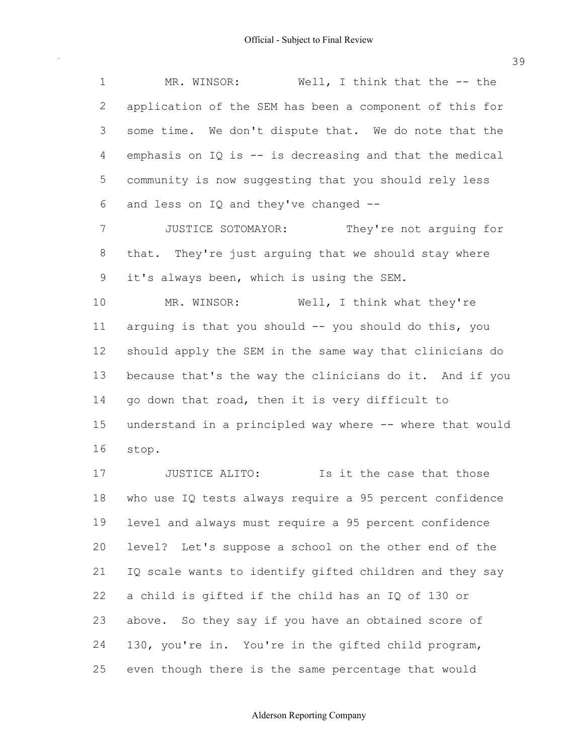| 1  | Well, I think that the $-$ - the<br>MR. WINSOR:          |
|----|----------------------------------------------------------|
| 2  | application of the SEM has been a component of this for  |
| 3  | some time. We don't dispute that. We do note that the    |
| 4  | emphasis on IQ is -- is decreasing and that the medical  |
| 5  | community is now suggesting that you should rely less    |
| 6  | and less on $IQ$ and they've changed $--$                |
| 7  | They're not arguing for<br>JUSTICE SOTOMAYOR:            |
| 8  | that. They're just arguing that we should stay where     |
| 9  | it's always been, which is using the SEM.                |
| 10 | MR. WINSOR: Well, I think what they're                   |
| 11 | arquing is that you should -- you should do this, you    |
| 12 | should apply the SEM in the same way that clinicians do  |
| 13 | because that's the way the clinicians do it. And if you  |
| 14 | go down that road, then it is very difficult to          |
| 15 | understand in a principled way where -- where that would |
| 16 | stop.                                                    |
| 17 | JUSTICE ALITO:<br>Is it the case that those              |
| 18 | who use IQ tests always require a 95 percent confidence  |
| 19 | level and always must require a 95 percent confidence    |
| 20 | level? Let's suppose a school on the other end of the    |
| 21 | IQ scale wants to identify gifted children and they say  |
| 22 | a child is gifted if the child has an IQ of 130 or       |
| 23 | above. So they say if you have an obtained score of      |
| 24 | 130, you're in. You're in the gifted child program,      |
| 25 | even though there is the same percentage that would      |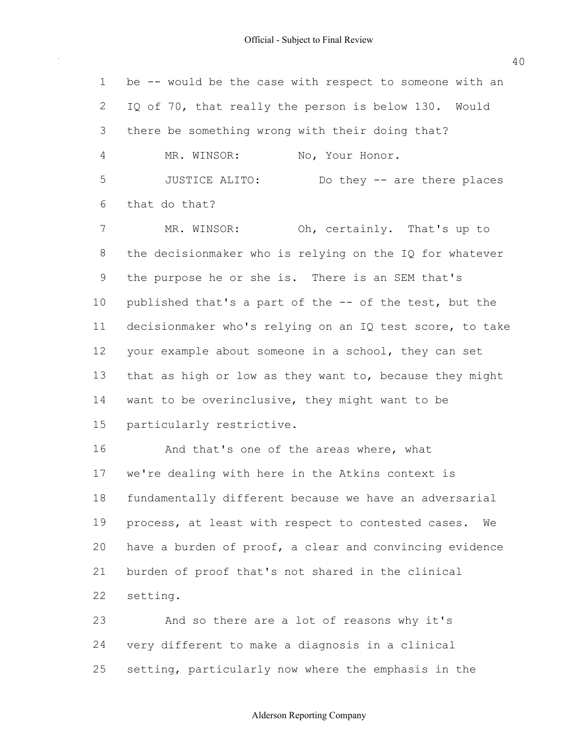| $\mathbf 1$    | be -- would be the case with respect to someone with an  |
|----------------|----------------------------------------------------------|
| 2              | IQ of 70, that really the person is below 130. Would     |
| 3              | there be something wrong with their doing that?          |
| 4              | MR. WINSOR:<br>No, Your Honor.                           |
| 5              | JUSTICE ALITO:<br>Do they -- are there places            |
| 6              | that do that?                                            |
| $\overline{7}$ | MR. WINSOR:<br>Oh, certainly. That's up to               |
| 8              | the decisionmaker who is relying on the IQ for whatever  |
| 9              | the purpose he or she is. There is an SEM that's         |
| 10             | published that's a part of the -- of the test, but the   |
| 11             | decisionmaker who's relying on an IQ test score, to take |
| 12             | your example about someone in a school, they can set     |
| 13             | that as high or low as they want to, because they might  |
| 14             | want to be overinclusive, they might want to be          |
| 15             | particularly restrictive.                                |
| 16             | And that's one of the areas where, what                  |
| 17             | we're dealing with here in the Atkins context is         |
| 18             | fundamentally different because we have an adversarial   |
| 19             | process, at least with respect to contested cases.<br>We |
| 20             | have a burden of proof, a clear and convincing evidence  |
| 21             | burden of proof that's not shared in the clinical        |
| 22             | setting.                                                 |
| 23             | And so there are a lot of reasons why it's               |
|                |                                                          |

 very different to make a diagnosis in a clinical setting, particularly now where the emphasis in the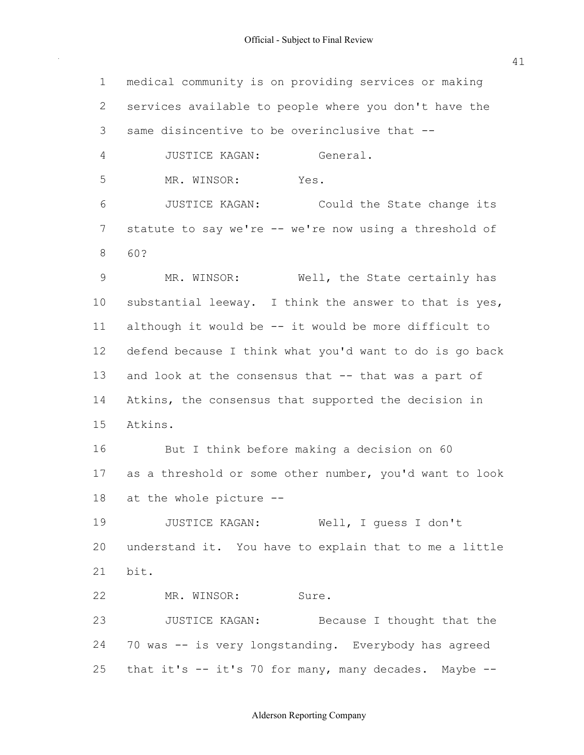medical community is on providing services or making services available to people where you don't have the same disincentive to be overinclusive that JUSTICE KAGAN: General. MR. WINSOR: Yes. JUSTICE KAGAN: Could the State change its 7 statute to say we're -- we're now using a threshold of 60? 9 MR. WINSOR: Well, the State certainly has substantial leeway. I think the answer to that is yes, 11 although it would be -- it would be more difficult to defend because I think what you'd want to do is go back 13 and look at the consensus that  $-$ - that was a part of Atkins, the consensus that supported the decision in Atkins. 16 But I think before making a decision on 60 as a threshold or some other number, you'd want to look 18 at the whole picture -- JUSTICE KAGAN: Well, I guess I don't understand it. You have to explain that to me a little bit. 22 MR. WINSOR: Sure. JUSTICE KAGAN: Because I thought that the 24 70 was -- is very longstanding. Everybody has agreed 25 that it's  $-$  it's 70 for many, many decades. Maybe  $-$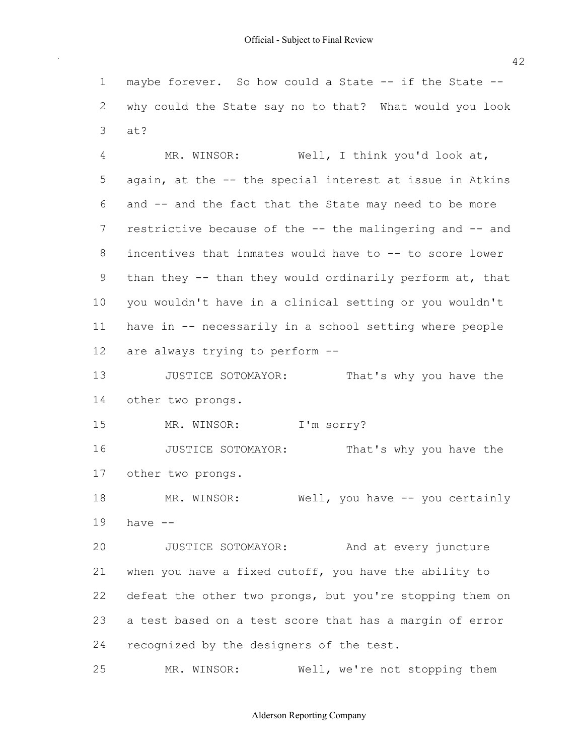1 maybe forever. So how could a State -- if the State --2 why could the State say no to that? What would you look 3 at?

4 MR. WINSOR: Well, I think you'd look at, 5 again, at the -- the special interest at issue in Atkins 6 and -- and the fact that the State may need to be more 7 restrictive because of the -- the malingering and -- and 8 incentives that inmates would have to -- to score lower 9 than they  $-$ - than they would ordinarily perform at, that 10 you wouldn't have in a clinical setting or you wouldn't 11 have in -- necessarily in a school setting where people 12 are always trying to perform

13 JUSTICE SOTOMAYOR: That's why you have the 14 other two prongs.

15 MR. WINSOR: I'm sorry?

16 JUSTICE SOTOMAYOR: That's why you have the 17 other two prongs.

18 MR. WINSOR: Well, you have -- you certainly  $19$  have  $-$ 

**JUSTICE SOTOMAYOR:** And at every juncture when you have a fixed cutoff, you have the ability to defeat the other two prongs, but you're stopping them on a test based on a test score that has a margin of error recognized by the designers of the test.

25 MR. WINSOR: Well, we're not stopping them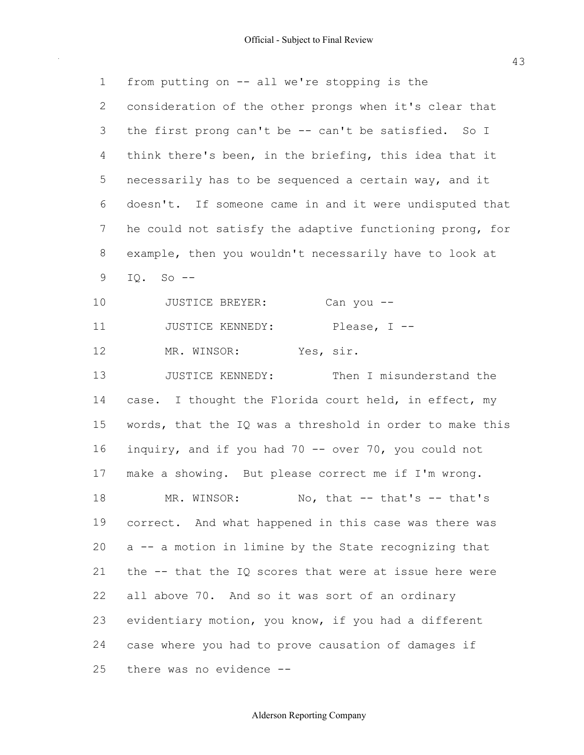| $\mathbf 1$ | from putting on -- all we're stopping is the             |
|-------------|----------------------------------------------------------|
| 2           | consideration of the other prongs when it's clear that   |
| 3           | the first prong can't be -- can't be satisfied. So I     |
| 4           | think there's been, in the briefing, this idea that it   |
| 5           | necessarily has to be sequenced a certain way, and it    |
| 6           | doesn't. If someone came in and it were undisputed that  |
| 7           | he could not satisfy the adaptive functioning prong, for |
| 8           | example, then you wouldn't necessarily have to look at   |
| 9           | $IQ. So --$                                              |
| 10          | JUSTICE BREYER:<br>Can you --                            |
| 11          | JUSTICE KENNEDY: Please, I --                            |
| 12          | MR. WINSOR:<br>Yes, sir.                                 |
| 13          | JUSTICE KENNEDY:<br>Then I misunderstand the             |
| 14          | case. I thought the Florida court held, in effect, my    |
| 15          | words, that the IQ was a threshold in order to make this |
| 16          | inquiry, and if you had 70 -- over 70, you could not     |
| 17          | make a showing. But please correct me if I'm wrong.      |
| 18          | No, that $--$ that's $--$ that's<br>MR. WINSOR:          |
| 19          | correct. And what happened in this case was there was    |
| 20          | a -- a motion in limine by the State recognizing that    |
| 21          | the -- that the IQ scores that were at issue here were   |
| 22          | all above 70. And so it was sort of an ordinary          |
| 23          | evidentiary motion, you know, if you had a different     |
| 24          | case where you had to prove causation of damages if      |
| 25          | there was no evidence --                                 |

Alderson Reporting Company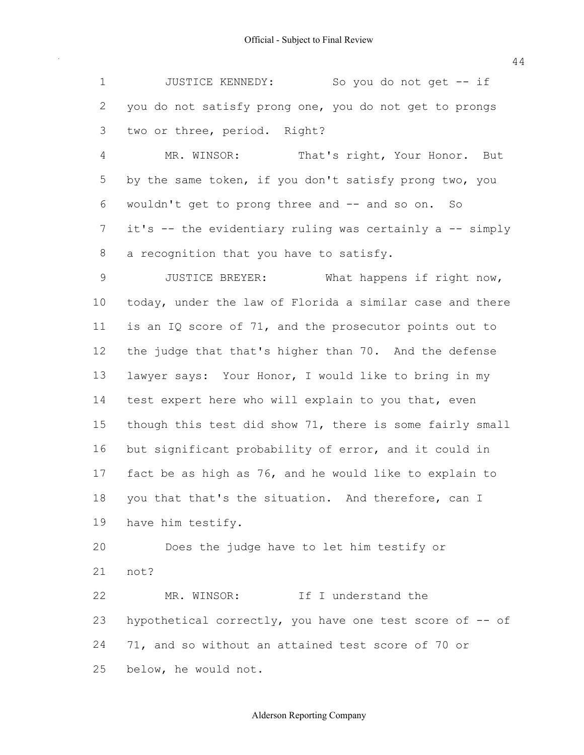1 JUSTICE KENNEDY: So you do not get -- if you do not satisfy prong one, you do not get to prongs two or three, period. Right? MR. WINSOR: That's right, Your Honor. But by the same token, if you don't satisfy prong two, you 6 wouldn't get to prong three and -- and so on. So it's  $-$  the evidentiary ruling was certainly a  $-$  simply a recognition that you have to satisfy. 9 JUSTICE BREYER: What happens if right now, today, under the law of Florida a similar case and there is an IQ score of 71, and the prosecutor points out to the judge that that's higher than 70. And the defense lawyer says: Your Honor, I would like to bring in my test expert here who will explain to you that, even though this test did show 71, there is some fairly small 16 but significant probability of error, and it could in fact be as high as 76, and he would like to explain to you that that's the situation. And therefore, can I have him testify. Does the judge have to let him testify or not? MR. WINSOR: If I understand the 23 hypothetical correctly, you have one test score of  $-$ - of 71, and so without an attained test score of 70 or below, he would not.

Alderson Reporting Company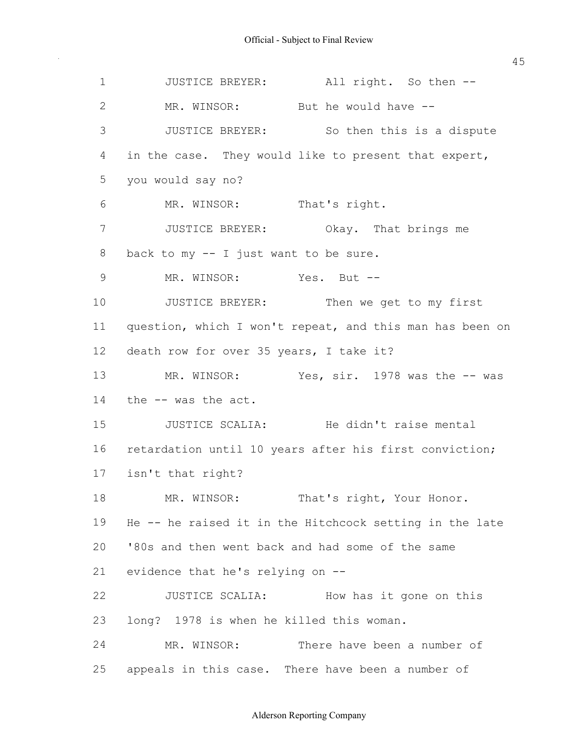| $\mathbf 1$  | JUSTICE BREYER: All right. So then --                     |
|--------------|-----------------------------------------------------------|
| $\mathbf{2}$ | MR. WINSOR: But he would have --                          |
| 3            | JUSTICE BREYER: So then this is a dispute                 |
| 4            | in the case. They would like to present that expert,      |
| 5            | you would say no?                                         |
| 6            | MR. WINSOR: That's right.                                 |
| 7            | JUSTICE BREYER: Okay. That brings me                      |
| 8            | back to my -- I just want to be sure.                     |
| 9            | MR. WINSOR: Yes. But --                                   |
| 10           | JUSTICE BREYER: Then we get to my first                   |
| 11           | question, which I won't repeat, and this man has been on  |
| 12           | death row for over 35 years, I take it?                   |
| 13           | MR. WINSOR: Yes, sir. 1978 was the -- was                 |
| 14           | the -- was the act.                                       |
| 15           | JUSTICE SCALIA: He didn't raise mental                    |
|              | 16 retardation until 10 years after his first conviction; |
|              | 17 isn't that right?                                      |
| 18           | MR. WINSOR: That's right, Your Honor.                     |
| 19           | He -- he raised it in the Hitchcock setting in the late   |
| 20           | '80s and then went back and had some of the same          |
| 21           | evidence that he's relying on --                          |
| 22           | JUSTICE SCALIA: How has it gone on this                   |
| 23           | long? 1978 is when he killed this woman.                  |
| 24           | MR. WINSOR:<br>There have been a number of                |
| 25           | appeals in this case. There have been a number of         |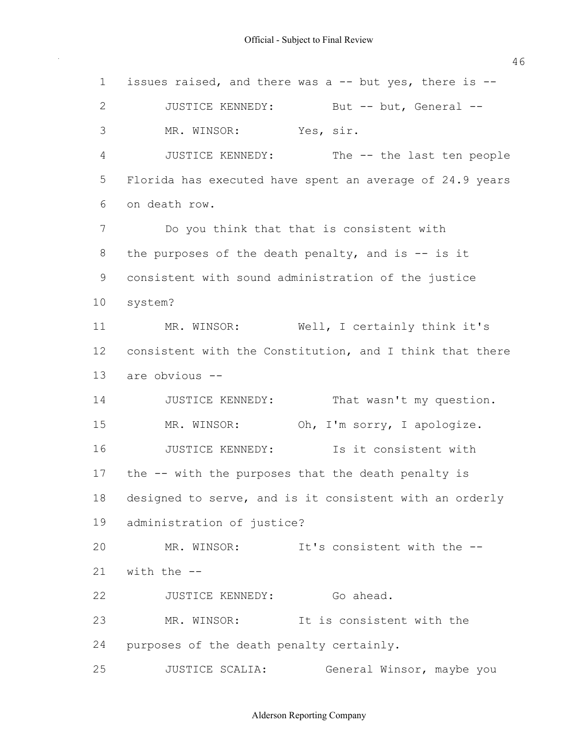1 issues raised, and there was a  $-$  but yes, there is  $-$ 2 JUSTICE KENNEDY: But -- but, General --3 MR. WINSOR: Yes, sir. 4 JUSTICE KENNEDY: The -- the last ten people 5 Florida has executed have spent an average of 24.9 years 6 on death row. 7 Do you think that that is consistent with 8 the purposes of the death penalty, and is  $-$  is it 9 consistent with sound administration of the justice 10 system? 11 MR. WINSOR: Well, I certainly think it's 12 consistent with the Constitution, and I think that there 13 are obvious  $-$ 14 JUSTICE KENNEDY: That wasn't my question. 15 MR. WINSOR: Oh, I'm sorry, I apologize. 16 JUSTICE KENNEDY: Is it consistent with 17 the -- with the purposes that the death penalty is 18 designed to serve, and is it consistent with an orderly 19 administration of justice? 20 MR. WINSOR: It's consistent with the --21 with the 22 JUSTICE KENNEDY: Go ahead. 23 MR. WINSOR: It is consistent with the 24 purposes of the death penalty certainly. 25 JUSTICE SCALIA: General Winsor, maybe you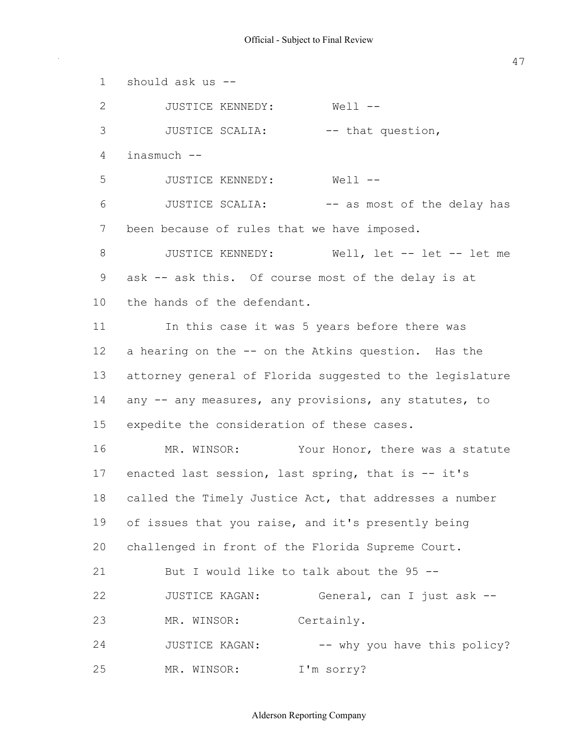1 should ask us  $-$ 2 JUSTICE KENNEDY: Well --3 JUSTICE SCALIA: -- that question, 4 inasmuch 5 JUSTICE KENNEDY: Well --6 JUSTICE SCALIA: -- as most of the delay has 7 been because of rules that we have imposed. 8 JUSTICE KENNEDY: Well, let -- let -- let me 9 ask -- ask this. Of course most of the delay is at 10 the hands of the defendant. 11 In this case it was 5 years before there was 12 a hearing on the -- on the Atkins question. Has the 13 attorney general of Florida suggested to the legislature 14 any -- any measures, any provisions, any statutes, to 15 expedite the consideration of these cases. 16 MR. WINSOR: Your Honor, there was a statute 17 enacted last session, last spring, that is -- it's 18 called the Timely Justice Act, that addresses a number 19 of issues that you raise, and it's presently being 20 challenged in front of the Florida Supreme Court. 21 But I would like to talk about the 95 --22 JUSTICE KAGAN: General, can I just ask 23 MR. WINSOR: Certainly. 24 JUSTICE KAGAN:  $--$  why you have this policy? 25 MR. WINSOR: I'm sorry?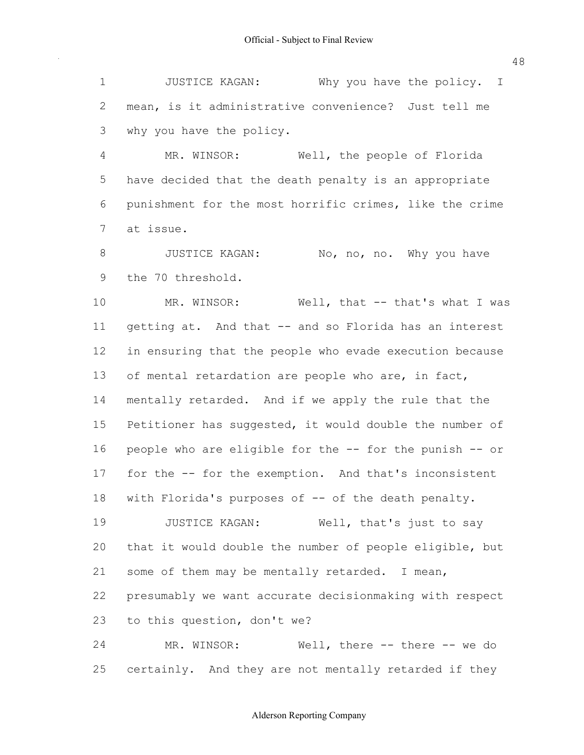| Official - Subject to Final Review |  |
|------------------------------------|--|

1 JUSTICE KAGAN: Why you have the policy. I mean, is it administrative convenience? Just tell me why you have the policy.

 MR. WINSOR: Well, the people of Florida have decided that the death penalty is an appropriate punishment for the most horrific crimes, like the crime at issue.

8 JUSTICE KAGAN: No, no, no. Why you have the 70 threshold.

10 MR. WINSOR: Well, that -- that's what I was 11 getting at. And that -- and so Florida has an interest in ensuring that the people who evade execution because 13 of mental retardation are people who are, in fact, mentally retarded. And if we apply the rule that the Petitioner has suggested, it would double the number of 16 people who are eligible for the  $-$ - for the punish  $-$ - or for the for the exemption. And that's inconsistent 18 with Florida's purposes of  $-$ - of the death penalty. **JUSTICE KAGAN:** Well, that's just to say that it would double the number of people eligible, but some of them may be mentally retarded. I mean, presumably we want accurate decisionmaking with respect to this question, don't we?

24 MR. WINSOR: Well, there -- there -- we do certainly. And they are not mentally retarded if they

## Alderson Reporting Company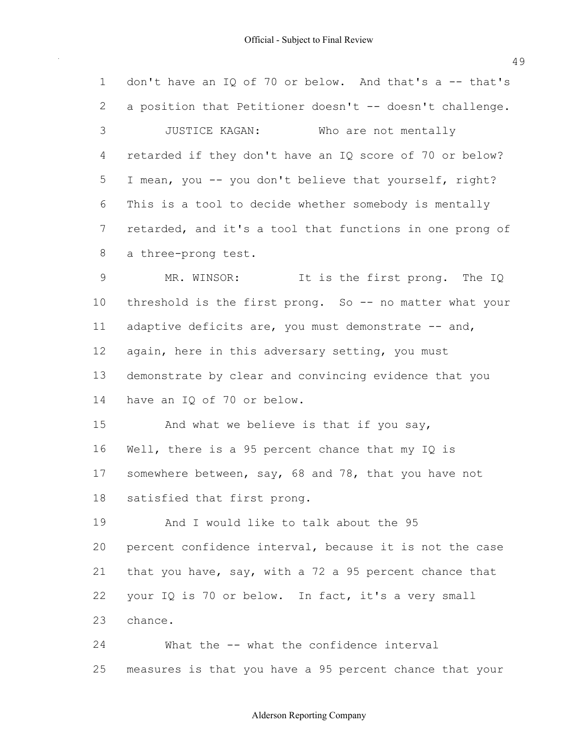1 don't have an IO of 70 or below. And that's a -- that's 2 a position that Petitioner doesn't -- doesn't challenge. JUSTICE KAGAN: Who are not mentally retarded if they don't have an IQ score of 70 or below? 5 I mean, you -- you don't believe that yourself, right? This is a tool to decide whether somebody is mentally retarded, and it's a tool that functions in one prong of 8 a three-prong test. MR. WINSOR: It is the first prong. The IQ 10 threshold is the first prong. So -- no matter what your 11 adaptive deficits are, you must demonstrate  $--$  and, 12 again, here in this adversary setting, you must demonstrate by clear and convincing evidence that you have an IQ of 70 or below. 15 And what we believe is that if you say, Well, there is a 95 percent chance that my IQ is somewhere between, say, 68 and 78, that you have not satisfied that first prong. **And I would like to talk about the 95**  percent confidence interval, because it is not the case that you have, say, with a 72 a 95 percent chance that your IQ is 70 or below. In fact, it's a very small chance. What the what the confidence interval

measures is that you have a 95 percent chance that your

## Alderson Reporting Company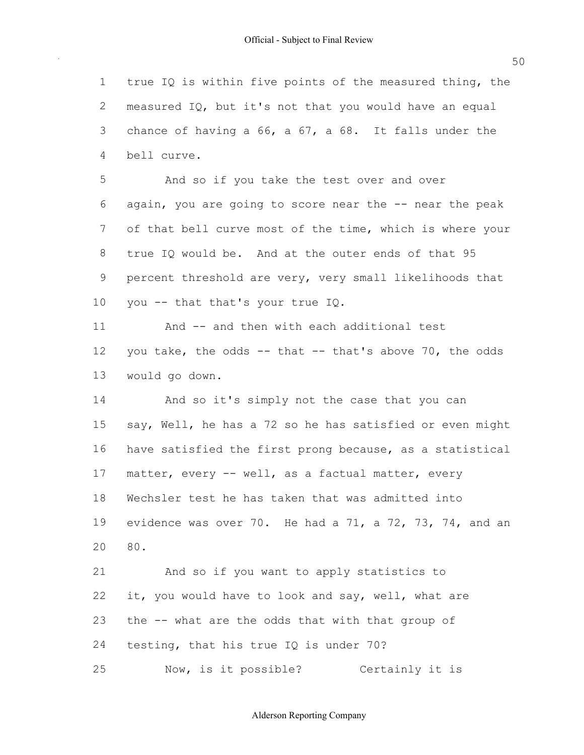true IQ is within five points of the measured thing, the measured IQ, but it's not that you would have an equal chance of having a 66, a 67, a 68. It falls under the bell curve.

 And so if you take the test over and over 6 again, you are going to score near the -- near the peak of that bell curve most of the time, which is where your true IQ would be. And at the outer ends of that 95 percent threshold are very, very small likelihoods that 10 you  $-$  that that's your true IQ.

11 The And -- and then with each additional test 12 you take, the odds  $--$  that  $--$  that's above 70, the odds would go down.

14 And so it's simply not the case that you can say, Well, he has a 72 so he has satisfied or even might have satisfied the first prong because, as a statistical 17 matter, every -- well, as a factual matter, every Wechsler test he has taken that was admitted into evidence was over 70. He had a 71, a 72, 73, 74, and an 80.

 And so if you want to apply statistics to it, you would have to look and say, well, what are 23 the  $-$ - what are the odds that with that group of testing, that his true IQ is under 70? Now, is it possible? Certainly it is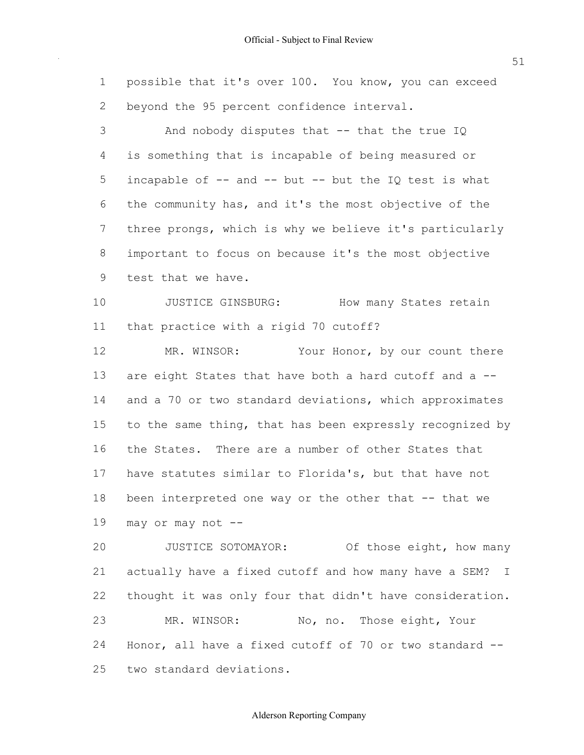possible that it's over 100. You know, you can exceed beyond the 95 percent confidence interval.

3 And nobody disputes that -- that the true IQ is something that is incapable of being measured or 5 incapable of  $-$  and  $-$  but  $-$  but the IO test is what the community has, and it's the most objective of the three prongs, which is why we believe it's particularly important to focus on because it's the most objective test that we have.

10 JUSTICE GINSBURG: How many States retain that practice with a rigid 70 cutoff?

12 MR. WINSOR: Your Honor, by our count there 13 are eight States that have both a hard cutoff and a -- and a 70 or two standard deviations, which approximates to the same thing, that has been expressly recognized by the States. There are a number of other States that have statutes similar to Florida's, but that have not 18 been interpreted one way or the other that -- that we may or may not

 JUSTICE SOTOMAYOR: Of those eight, how many actually have a fixed cutoff and how many have a SEM? I thought it was only four that didn't have consideration. 23 MR. WINSOR: No, no. Those eight, Your Honor, all have a fixed cutoff of 70 or two standard two standard deviations.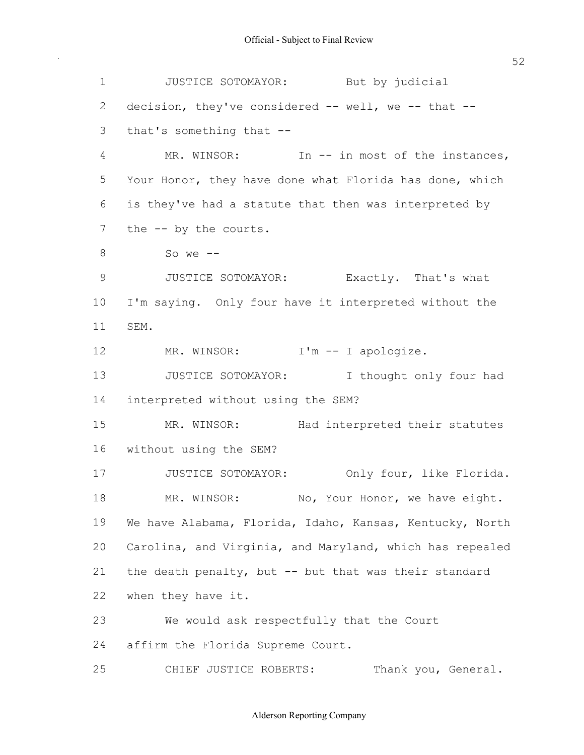| $\mathbf 1$    | JUSTICE SOTOMAYOR: But by judicial                        |
|----------------|-----------------------------------------------------------|
| 2              | decision, they've considered $--$ well, we $--$ that $--$ |
| 3              | that's something that --                                  |
| 4              | MR. WINSOR: In $--$ in most of the instances,             |
| 5              | Your Honor, they have done what Florida has done, which   |
| 6              | is they've had a statute that then was interpreted by     |
| $7\phantom{.}$ | the -- by the courts.                                     |
| $8\,$          | So we $--$                                                |
| $\mathsf 9$    | JUSTICE SOTOMAYOR: Exactly. That's what                   |
| 10             | I'm saying. Only four have it interpreted without the     |
| 11             | SEM.                                                      |
| 12             | MR. WINSOR:<br>I'm -- I apologize.                        |
| 13             | JUSTICE SOTOMAYOR:<br>I thought only four had             |
| 14             | interpreted without using the SEM?                        |
| 15             | MR. WINSOR: Had interpreted their statutes                |
|                | 16 without using the SEM?                                 |
| 17             | JUSTICE SOTOMAYOR:<br>Only four, like Florida.            |
| 18             | MR. WINSOR: No, Your Honor, we have eight.                |
| 19             | We have Alabama, Florida, Idaho, Kansas, Kentucky, North  |
| 20             | Carolina, and Virginia, and Maryland, which has repealed  |
| 21             | the death penalty, but -- but that was their standard     |
| 22             | when they have it.                                        |
| 23             | We would ask respectfully that the Court                  |
| 24             | affirm the Florida Supreme Court.                         |
| 25             | Thank you, General.<br>CHIEF JUSTICE ROBERTS:             |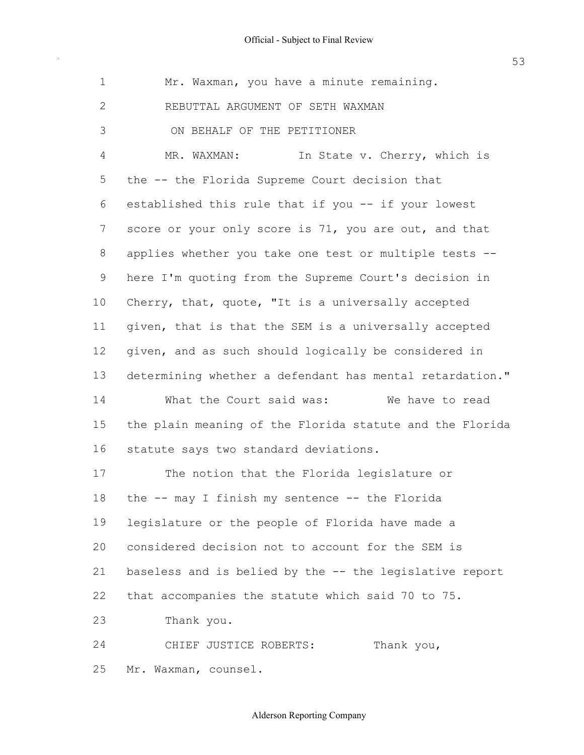| $\mathbf 1$   | Mr. Waxman, you have a minute remaining.                 |
|---------------|----------------------------------------------------------|
| $\mathbf{2}$  | REBUTTAL ARGUMENT OF SETH WAXMAN                         |
| $\mathcal{S}$ | ON BEHALF OF THE PETITIONER                              |
| 4             | In State v. Cherry, which is<br>MR. WAXMAN:              |
| 5             | the -- the Florida Supreme Court decision that           |
| 6             | established this rule that if you -- if your lowest      |
| 7             | score or your only score is 71, you are out, and that    |
| 8             | applies whether you take one test or multiple tests --   |
| 9             | here I'm quoting from the Supreme Court's decision in    |
| 10            | Cherry, that, quote, "It is a universally accepted       |
| 11            | given, that is that the SEM is a universally accepted    |
| 12            | given, and as such should logically be considered in     |
| 13            | determining whether a defendant has mental retardation." |
| 14            | What the Court said was:<br>We have to read              |
| 15            | the plain meaning of the Florida statute and the Florida |
| 16            | statute says two standard deviations.                    |
| 17            | The notion that the Florida legislature or               |
| 18            | the -- may I finish my sentence -- the Florida           |
| 19            | legislature or the people of Florida have made a         |
| 20            | considered decision not to account for the SEM is        |
| 21            | baseless and is belied by the -- the legislative report  |
| 22            | that accompanies the statute which said 70 to 75.        |
| 23            | Thank you.                                               |
| 24            | CHIEF JUSTICE ROBERTS:<br>Thank you,                     |
| 25            | Mr. Waxman, counsel.                                     |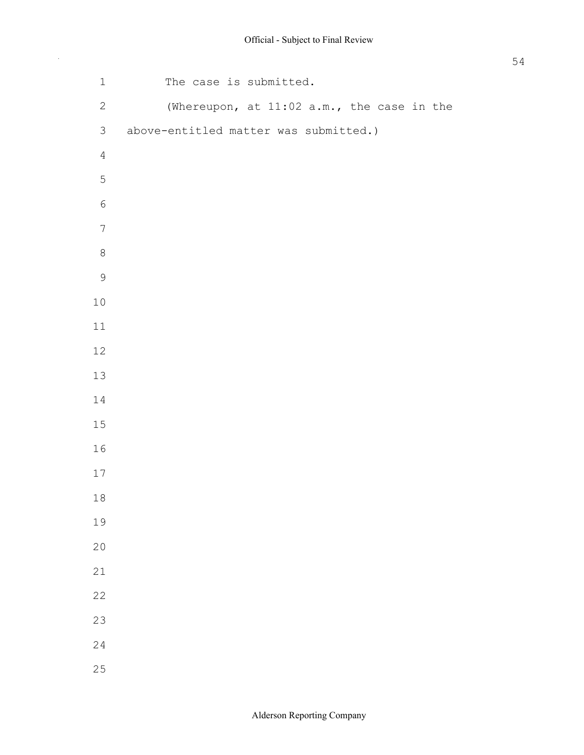| $1\,$            | The case is submitted.                     |
|------------------|--------------------------------------------|
| $\mathbf{2}$     | (Whereupon, at 11:02 a.m., the case in the |
| $\mathfrak{Z}$   | above-entitled matter was submitted.)      |
| $\overline{4}$   |                                            |
| 5                |                                            |
| $\epsilon$       |                                            |
| $\boldsymbol{7}$ |                                            |
| $\,8\,$          |                                            |
| $\mathcal{G}$    |                                            |
| $10\,$           |                                            |
| $11\,$           |                                            |
| 12               |                                            |
| $13\,$           |                                            |
| 14               |                                            |
| $15\,$           |                                            |
| 16               |                                            |
| $17$             |                                            |
| 18               |                                            |
| 19               |                                            |
| 20               |                                            |
| 21               |                                            |
| 22               |                                            |
| 23               |                                            |
| 24               |                                            |
| 25               |                                            |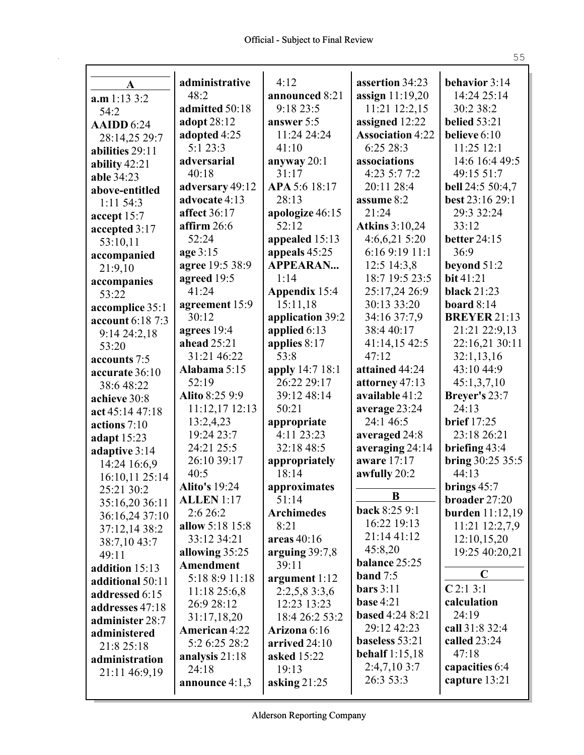r

| $\mathbf A$                        | administrative                            | 4:12                       | assertion 34:23         | behavior 3:14                    |
|------------------------------------|-------------------------------------------|----------------------------|-------------------------|----------------------------------|
| a.m 1:13 3:2                       | 48:2                                      | announced 8:21             | assign $11:19,20$       | 14:24 25:14                      |
| 54:2                               | admitted 50:18                            | 9:18 23:5                  | 11:21 12:2,15           | 30:2 38:2                        |
| <b>AAIDD</b> 6:24                  | adopt 28:12                               | answer 5:5                 | assigned 12:22          | <b>belied</b> 53:21              |
| 28:14,25 29:7                      | adopted 4:25                              | 11:24 24:24                | <b>Association 4:22</b> | believe 6:10                     |
| abilities 29:11                    | 5:123:3                                   | 41:10                      | 6:25 28:3               | 11:25 12:1                       |
| ability 42:21                      | adversarial                               | anyway 20:1                | associations            | 14:6 16:4 49:5                   |
| able 34:23                         | 40:18                                     | 31:17                      | 4:23 5:7 7:2            | 49:15 51:7                       |
| above-entitled                     | adversary 49:12                           | APA 5:6 18:17              | 20:11 28:4              | bell 24:5 50:4,7                 |
| $1:11\,54:3$                       | advocate 4:13                             | 28:13                      | assume 8:2              | best 23:16 29:1                  |
| accept 15:7                        | affect 36:17                              | apologize 46:15            | 21:24                   | 29:3 32:24                       |
| accepted 3:17                      | affirm $26:6$                             | 52:12                      | <b>Atkins 3:10,24</b>   | 33:12                            |
| 53:10,11                           | 52:24                                     | appealed 15:13             | 4:6,6,215:20            | <b>better 24:15</b>              |
| accompanied                        | age 3:15                                  | appeals 45:25              | 6:16 9:19 11:1          | 36:9                             |
| 21:9,10                            | agree 19:5 38:9                           | <b>APPEARAN</b>            | 12:5 14:3,8             | beyond 51:2                      |
| accompanies                        | agreed 19:5                               | 1:14                       | 18:7 19:5 23:5          | bit 41:21                        |
| 53:22                              | 41:24                                     | Appendix 15:4              | 25:17,24 26:9           | <b>black</b> 21:23               |
| accomplice 35:1                    | agreement 15:9                            | 15:11,18                   | 30:13 33:20             | board $8:14$                     |
| account 6:18 7:3                   | 30:12                                     | application 39:2           | 34:16 37:7,9            | <b>BREYER 21:13</b>              |
| 9:14 24:2,18                       | agrees 19:4                               | applied 6:13               | 38:4 40:17              | 21:21 22:9,13                    |
| 53:20                              | ahead 25:21                               | applies 8:17               | 41:14,15 42:5           | 22:16,21 30:11                   |
| accounts 7:5                       | 31:21 46:22                               | 53:8                       | 47:12                   | 32:1,13,16                       |
| accurate 36:10                     | Alabama 5:15                              | apply 14:7 18:1            | attained 44:24          | 43:10 44:9                       |
| 38:6 48:22                         | 52:19                                     | 26:22 29:17                | attorney 47:13          | 45:1,3,7,10                      |
| achieve 30:8                       | Alito 8:25 9:9                            | 39:12 48:14                | available 41:2          | Breyer's 23:7                    |
| act 45:14 47:18                    | 11:12,17 12:13                            | 50:21                      | average 23:24           | 24:13                            |
| actions 7:10                       | 13:2,4,23                                 | appropriate                | 24:1 46:5               | <b>brief</b> 17:25               |
| adapt 15:23                        | 19:24 23:7                                | 4:11 23:23                 | averaged 24:8           | 23:18 26:21                      |
| adaptive 3:14                      | 24:21 25:5                                | 32:18 48:5                 | averaging 24:14         | briefing $43:4$                  |
| 14:24 16:6,9                       | 26:10 39:17                               | appropriately              | aware 17:17             | <b>bring 30:25 35:5</b>          |
| 16:10,11 25:14                     | 40:5                                      | 18:14                      | awfully 20:2            | 44:13                            |
| 25:21 30:2                         | <b>Alito's 19:24</b><br><b>ALLEN</b> 1:17 | approximates               | $\bf{B}$                | brings $45:7$<br>broader $27:20$ |
| 35:16,20 36:11                     | 2:6 26:2                                  | 51:14<br><b>Archimedes</b> | <b>back 8:25 9:1</b>    | burden 11:12,19                  |
| 36:16,24 37:10                     | allow 5:18 15:8                           | 8:21                       | 16:22 19:13             | 11:21 12:2,7,9                   |
| 37:12,14 38:2                      | 33:12 34:21                               | areas 40:16                | 21:14 41:12             | 12:10,15,20                      |
| 38:7,10 43:7                       | allowing 35:25                            | arguing 39:7,8             | 45:8,20                 | 19:25 40:20,21                   |
| 49:11                              | Amendment                                 | 39:11                      | balance 25:25           |                                  |
| addition 15:13                     | 5:18 8:9 11:18                            | argument $1:12$            | band $7:5$              | $\mathbf C$                      |
| additional 50:11<br>addressed 6:15 | 11:1825:6,8                               | 2:2,5,83:3,6               | bars $3:11$             | C2:13:1                          |
|                                    | 26:9 28:12                                | 12:23 13:23                | <b>base</b> 4:21        | calculation                      |
| addresses 47:18<br>administer 28:7 | 31:17,18,20                               | 18:4 26:2 53:2             | <b>based</b> 4:24 8:21  | 24:19                            |
| administered                       | American 4:22                             | Arizona 6:16               | 29:12 42:23             | call 31:8 32:4                   |
| 21:8 25:18                         | 5:2 6:25 28:2                             | arrived 24:10              | baseless 53:21          | called $23:24$                   |
| administration                     | analysis 21:18                            | asked 15:22                | behalf $1:15,18$        | 47:18                            |
| 21:11 46:9,19                      | 24:18                                     | 19:13                      | 2:4,7,103:7             | capacities 6:4                   |
|                                    | announce 4:1,3                            | asking $21:25$             | 26:3 53:3               | capture 13:21                    |
|                                    |                                           |                            |                         |                                  |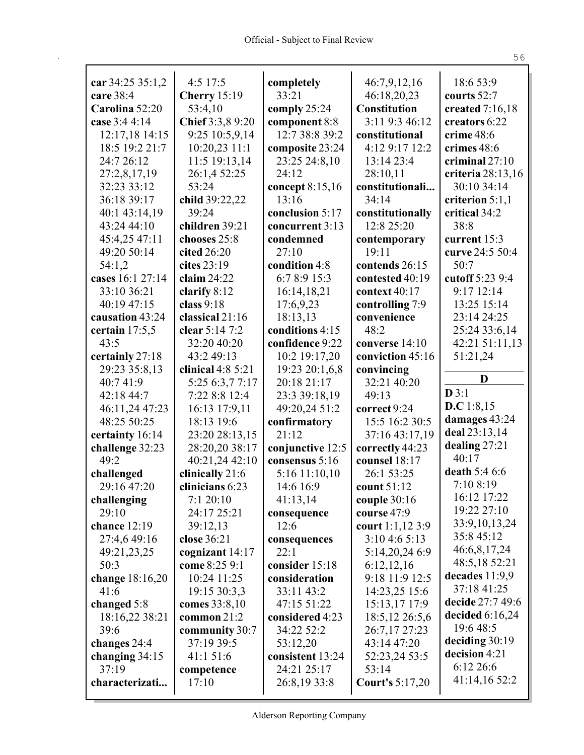| car 34:25 35:1,2 | $4:5$ 17:5          | completely        | 46:7,9,12,16           | 18:6 53:9         |
|------------------|---------------------|-------------------|------------------------|-------------------|
| care 38:4        | <b>Cherry</b> 15:19 | 33:21             | 46:18,20,23            | courts 52:7       |
| Carolina 52:20   | 53:4,10             | comply 25:24      | <b>Constitution</b>    | created 7:16,18   |
| case 3:4 4:14    | Chief 3:3,8 9:20    | component 8:8     | 3:11 9:3 46:12         | creators 6:22     |
| 12:17,18 14:15   | 9:25 10:5,9,14      | 12:7 38:8 39:2    | constitutional         | crime 48:6        |
| 18:5 19:2 21:7   | 10:20,23 11:1       | composite 23:24   | 4:12 9:17 12:2         | crimes 48:6       |
| 24:7 26:12       | 11:5 19:13,14       | 23:25 24:8,10     | 13:14 23:4             | criminal $27:10$  |
| 27:2,8,17,19     | 26:1,4 52:25        | 24:12             | 28:10,11               | criteria 28:13,16 |
| 32:23 33:12      | 53:24               | concept $8:15,16$ | constitutionali        | 30:10 34:14       |
| 36:18 39:17      | child 39:22,22      | 13:16             | 34:14                  | criterion $5:1,1$ |
| 40:1 43:14,19    | 39:24               | conclusion 5:17   | constitutionally       | critical 34:2     |
| 43:24 44:10      | children 39:21      | concurrent 3:13   | 12:8 25:20             | 38:8              |
| 45:4,25 47:11    | chooses 25:8        | condemned         | contemporary           | current 15:3      |
| 49:20 50:14      | cited 26:20         | 27:10             | 19:11                  | curve 24:5 50:4   |
| 54:1,2           | cites $23:19$       | condition 4:8     | contends 26:15         | 50:7              |
| cases 16:1 27:14 | claim $24:22$       | 6:7 8:9 15:3      | contested 40:19        | cutoff 5:23 9:4   |
| 33:10 36:21      | clarify 8:12        | 16:14,18,21       | context 40:17          | 9:17 12:14        |
| 40:19 47:15      | class $9:18$        | 17:6,9,23         | controlling 7:9        | 13:25 15:14       |
| causation 43:24  | classical 21:16     | 18:13,13          | convenience            | 23:14 24:25       |
| certain $17:5,5$ | clear 5:14 7:2      | conditions 4:15   | 48:2                   | 25:24 33:6,14     |
| 43:5             | 32:20 40:20         | confidence 9:22   | converse 14:10         | 42:21 51:11,13    |
| certainly 27:18  | 43:2 49:13          | 10:2 19:17,20     | conviction 45:16       | 51:21,24          |
| 29:23 35:8,13    | clinical $4:85:21$  | 19:23 20:1,6,8    | convincing             |                   |
| 40:741:9         | 5:25 6:3,7 7:17     | 20:18 21:17       | 32:21 40:20            | D                 |
| 42:18 44:7       | 7:22 8:8 12:4       | 23:3 39:18,19     | 49:13                  | D3:1              |
| 46:11,24 47:23   | 16:13 17:9,11       | 49:20,24 51:2     | correct 9:24           | D.C 1:8,15        |
| 48:25 50:25      | 18:13 19:6          | confirmatory      | 15:5 16:2 30:5         | damages 43:24     |
| certainty 16:14  | 23:20 28:13,15      | 21:12             | 37:16 43:17,19         | deal 23:13,14     |
| challenge 32:23  | 28:20,20 38:17      | conjunctive 12:5  | correctly 44:23        | dealing 27:21     |
| 49:2             | 40:21,24 42:10      | consensus 5:16    | counsel 18:17          | 40:17             |
| challenged       | clinically 21:6     | 5:16 11:10,10     | 26:1 53:25             | death 5:4 6:6     |
| 29:16 47:20      | clinicians 6:23     | 14:6 16:9         | count 51:12            | 7:10 8:19         |
| challenging      | 7:1 20:10           | 41:13,14          | couple $30:16$         | 16:12 17:22       |
| 29:10            | 24:17 25:21         | consequence       | course 47:9            | 19:22 27:10       |
| chance 12:19     | 39:12,13            | 12:6              | court $1:1,123:9$      | 33:9, 10, 13, 24  |
| 27:4,6 49:16     | close 36:21         | consequences      | $3:10$ 4:6 5:13        | 35:8 45:12        |
| 49:21,23,25      | cognizant $14:17$   | 22:1              | 5:14,20,24 6:9         | 46:6,8,17,24      |
| 50:3             | come 8:25 9:1       | consider 15:18    | 6:12,12,16             | 48:5,18 52:21     |
| change 18:16,20  | 10:24 11:25         | consideration     | 9:18 11:9 12:5         | decades $11:9,9$  |
| 41:6             | 19:15 30:3,3        | 33:11 43:2        | 14:23,25 15:6          | 37:18 41:25       |
| changed 5:8      | comes 33:8,10       | 47:15 51:22       | 15:13,17 17:9          | decide 27:7 49:6  |
| 18:16,22 38:21   | common $21:2$       | considered 4:23   | 18:5, 12 26:5, 6       | decided $6:16,24$ |
| 39:6             | community 30:7      | 34:22 52:2        | 26:7,17 27:23          | 19:6 48:5         |
| changes 24:4     | 37:19 39:5          | 53:12,20          | 43:14 47:20            | deciding $30:19$  |
| changing $34:15$ | 41:151:6            | consistent 13:24  | 52:23,24 53:5          | decision 4:21     |
| 37:19            | competence          | 24:21 25:17       | 53:14                  | 6:12 26:6         |
| characterizati   | 17:10               | 26:8,19 33:8      | <b>Court's 5:17,20</b> | 41:14,16 52:2     |
|                  |                     |                   |                        |                   |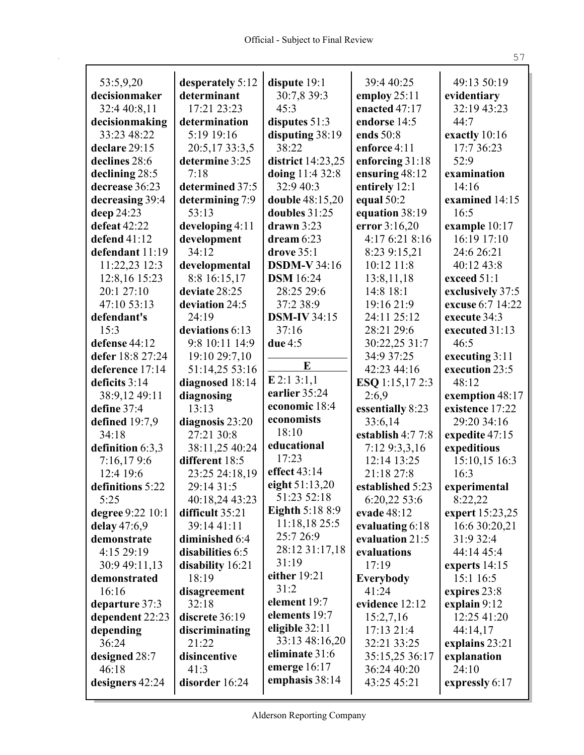$\mathbf{r}$ 

| 53:5,9,20          | desperately 5:12 | dispute 19:1           | 39:4 40:25             | 49:13 50:19      |
|--------------------|------------------|------------------------|------------------------|------------------|
| decisionmaker      | determinant      | 30:7,8 39:3            | employ $25:11$         | evidentiary      |
| 32:4 40:8,11       | 17:21 23:23      | 45:3                   | enacted 47:17          | 32:19 43:23      |
| decisionmaking     | determination    | disputes $51:3$        | endorse 14:5           | 44:7             |
| 33:23 48:22        | 5:19 19:16       | disputing 38:19        | ends 50:8              | exactly 10:16    |
| declare 29:15      | 20:5,17 33:3,5   | 38:22                  | enforce 4:11           | 17:7 36:23       |
| declines 28:6      | determine 3:25   | district 14:23,25      | enforcing 31:18        | 52:9             |
| declining 28:5     | 7:18             | doing 11:4 32:8        | ensuring 48:12         | examination      |
| decrease 36:23     | determined 37:5  | 32:9 40:3              | entirely 12:1          | 14:16            |
| decreasing 39:4    | determining 7:9  | double 48:15,20        | equal 50:2             | examined 14:15   |
| deep 24:23         | 53:13            | doubles 31:25          | equation 38:19         | 16:5             |
| defeat 42:22       | developing 4:11  | drawn $3:23$           | error 3:16,20          | example 10:17    |
| defend $41:12$     | development      | dream $6:23$           | 4:17 6:21 8:16         | 16:19 17:10      |
| defendant 11:19    | 34:12            | drove $35:1$           | 8:23 9:15,21           | 24:6 26:21       |
| 11:22,23 12:3      | developmental    | <b>DSDM-V34:16</b>     | 10:12 11:8             | 40:12 43:8       |
| 12:8,16 15:23      | 8:8 16:15,17     | <b>DSM</b> 16:24       | 13:8,11,18             | exceed 51:1      |
| 20:1 27:10         | deviate 28:25    | 28:25 29:6             | 14:8 18:1              | exclusively 37:5 |
| 47:10 53:13        | deviation 24:5   | 37:2 38:9              | 19:16 21:9             | excuse 6:7 14:22 |
| defendant's        | 24:19            | <b>DSM-IV 34:15</b>    | 24:11 25:12            | execute 34:3     |
| 15:3               | deviations 6:13  | 37:16                  | 28:21 29:6             | executed 31:13   |
| defense 44:12      | 9:8 10:11 14:9   | due 4:5                | 30:22,25 31:7          | 46:5             |
| defer 18:8 27:24   | 19:10 29:7,10    |                        | 34:9 37:25             | executing $3:11$ |
| deference 17:14    | 51:14,25 53:16   | E                      | 42:23 44:16            | execution 23:5   |
|                    |                  | $E$ 2:1 3:1,1          |                        | 48:12            |
| deficits 3:14      | diagnosed 18:14  | earlier 35:24          | <b>ESQ</b> 1:15,17 2:3 |                  |
| 38:9,12 49:11      | diagnosing       | economic 18:4          | 2:6,9                  | exemption 48:17  |
| define 37:4        | 13:13            | economists             | essentially 8:23       | existence 17:22  |
| defined $19:7,9$   | diagnosis 23:20  | 18:10                  | 33:6,14                | 29:20 34:16      |
| 34:18              | 27:21 30:8       | educational            | establish 4:7 7:8      | expedite 47:15   |
| definition $6:3,3$ | 38:11,25 40:24   | 17:23                  | 7:12 9:3,3,16          | expeditious      |
| 7:16,179:6         | different 18:5   | effect 43:14           | 12:14 13:25            | 15:10,15 16:3    |
| 12:4 19:6          | 23:25 24:18,19   |                        | 21:18 27:8             | 16:3             |
| definitions 5:22   | 29:14 31:5       | eight 51:13,20         | established 5:23       | experimental     |
| 5:25               | 40:18,24 43:23   | 51:23 52:18            | 6:20,22 53:6           | 8:22,22          |
| degree 9:22 10:1   | difficult 35:21  | <b>Eighth 5:18 8:9</b> | evade 48:12            | expert 15:23,25  |
| delay 47:6,9       | 39:14 41:11      | 11:18,1825:5           | evaluating 6:18        | 16:6 30:20,21    |
| demonstrate        | diminished 6:4   | 25:7 26:9              | evaluation 21:5        | 31:9 32:4        |
| 4:15 29:19         | disabilities 6:5 | 28:12 31:17,18         | evaluations            | 44:14 45:4       |
| 30:9 49:11,13      | disability 16:21 | 31:19                  | 17:19                  | experts $14:15$  |
| demonstrated       | 18:19            | either 19:21           | Everybody              | 15:1 16:5        |
| 16:16              | disagreement     | 31:2                   | 41:24                  | expires 23:8     |
| departure 37:3     | 32:18            | element 19:7           | evidence 12:12         | explain $9:12$   |
| dependent 22:23    | discrete 36:19   | elements 19:7          | 15:2,7,16              | 12:25 41:20      |
| depending          |                  | eligible $32:11$       | 17:13 21:4             | 44:14,17         |
|                    | discriminating   |                        |                        |                  |
| 36:24              | 21:22            | 33:13 48:16,20         | 32:21 33:25            | explains 23:21   |
| designed 28:7      | disincentive     | eliminate 31:6         | 35:15,25 36:17         | explanation      |
| 46:18              | 41:3             | emerge $16:17$         | 36:24 40:20            | 24:10            |
| designers 42:24    | disorder 16:24   | emphasis 38:14         | 43:25 45:21            | expressly 6:17   |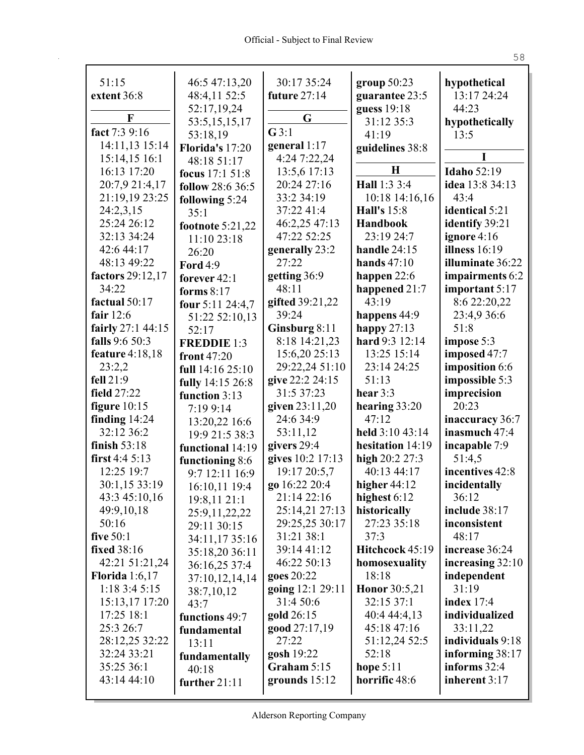| 51:15                     | 46:5 47:13,20           | 30:17 35:24      | group 50:23                  | hypothetical                        |
|---------------------------|-------------------------|------------------|------------------------------|-------------------------------------|
| extent 36:8               | 48:4,11 52:5            | future 27:14     | guarantee 23:5               | 13:17 24:24                         |
|                           | 52:17,19,24             |                  | guess 19:18                  | 44:23                               |
| F                         | 53:5, 15, 15, 17        | G                | 31:12 35:3                   | hypothetically                      |
| fact 7:3 9:16             | 53:18,19                | G3:1             | 41:19                        | 13:5                                |
| 14:11,13 15:14            | Florida's 17:20         | general 1:17     | guidelines 38:8              |                                     |
| 15:14,15 16:1             | 48:18 51:17             | 4:24 7:22,24     |                              |                                     |
| 16:13 17:20               | focus 17:1 51:8         | 13:5,6 17:13     | $\mathbf H$                  | <b>Idaho 52:19</b>                  |
| 20:7,9 21:4,17            | <b>follow</b> 28:6 36:5 | 20:24 27:16      | Hall 1:3 3:4                 | idea 13:8 34:13                     |
| 21:19,19 23:25            | following 5:24          | 33:2 34:19       | 10:18 14:16,16               | 43:4                                |
| 24:2,3,15                 | 35:1                    | 37:22 41:4       | <b>Hall's</b> 15:8           | identical 5:21                      |
| 25:24 26:12               | footnote 5:21,22        | 46:2,25 47:13    | Handbook                     | identify 39:21                      |
| 32:13 34:24               | 11:10 23:18             | 47:22 52:25      | 23:19 24:7                   | ignore $4:16$                       |
| 42:6 44:17                | 26:20                   | generally 23:2   | handle $24:15$               | illness 16:19                       |
| 48:13 49:22               | <b>Ford</b> 4:9         | 27:22            | hands $47:10$                | illuminate 36:22                    |
| factors 29:12,17          | forever $42:1$          | getting 36:9     | happen $22:6$                | impairments 6:2                     |
| 34:22                     | forms $8:17$            | 48:11            | happened $21:7$              | important 5:17                      |
| factual 50:17             | four $5:11$ 24:4,7      | gifted 39:21,22  | 43:19                        | 8:6 22:20,22                        |
| fair $12:6$               | 51:22 52:10,13          | 39:24            | happens 44:9                 | 23:4,9 36:6                         |
| fairly 27:1 44:15         | 52:17                   | Ginsburg 8:11    | happy $27:13$                | 51:8                                |
| <b>falls</b> 9:6 50:3     | <b>FREDDIE 1:3</b>      | 8:18 14:21,23    | hard 9:3 12:14               | impose 5:3                          |
| <b>feature</b> 4:18,18    | front 47:20             | 15:6,20 25:13    | 13:25 15:14                  | imposed 47:7                        |
| 23:2,2                    | full 14:16 25:10        | 29:22,24 51:10   | 23:14 24:25                  | imposition 6:6                      |
| fell 21:9                 | fully 14:15 26:8        | give 22:2 24:15  | 51:13                        | impossible 5:3                      |
| field 27:22               | function 3:13           | 31:5 37:23       | hear $3:3$                   | imprecision                         |
| figure $10:15$            | 7:19 9:14               | given 23:11,20   | hearing $33:20$              | 20:23                               |
| finding $14:24$           | 13:20,22 16:6           | 24:6 34:9        | 47:12                        | inaccuracy 36:7                     |
| 32:12 36:2                | 19:9 21:5 38:3          | 53:11,12         | held 3:10 43:14              | inasmuch $47:4$                     |
| finish $53:18$            | functional 14:19        | givers 29:4      | hesitation 14:19             | incapable 7:9                       |
| first $4:45:13$           | functioning 8:6         | gives 10:2 17:13 | high 20:2 27:3               | 51:4,5                              |
| 12:25 19:7                | 9:7 12:11 16:9          | 19:17 20:5,7     | 40:13 44:17                  | incentives 42:8                     |
| 30:1,15 33:19             | 16:10,11 19:4           | go 16:22 20:4    | higher 44:12                 | incidentally                        |
| 43:3 45:10,16             | 19:8,11 21:1            | 21:14 22:16      | highest 6:12                 | 36:12                               |
| 49:9,10,18                | 25:9,11,22,22           | 25:14,21 27:13   | historically                 | include 38:17                       |
| 50:16                     | 29:11 30:15             | 29:25,25 30:17   | 27:23 35:18                  | inconsistent                        |
| five 50:1                 | 34:11,17 35:16          | 31:21 38:1       | 37:3                         | 48:17                               |
| fixed 38:16               | 35:18,20 36:11          | 39:14 41:12      | Hitchcock 45:19              | increase 36:24                      |
| 42:21 51:21,24            | 36:16,25 37:4           | 46:22 50:13      | homosexuality                | increasing $32:10$                  |
| Florida $1:6,17$          | 37:10,12,14,14          | goes 20:22       | 18:18                        | independent                         |
| 1:183:45:15               | 38:7,10,12              | going 12:1 29:11 | <b>Honor</b> 30:5,21         | 31:19                               |
| 15:13,17 17:20            | 43:7                    | 31:4 50:6        | 32:15 37:1                   | index $17:4$                        |
| 17:25 18:1                | functions 49:7          | gold 26:15       | 40:4 44:4,13                 | individualized                      |
| 25:3 26:7                 | fundamental             | good 27:17,19    | 45:18 47:16                  | 33:11,22                            |
| 28:12,25 32:22            | 13:11                   | 27:22            | 51:12,24 52:5                | individuals 9:18                    |
| 32:24 33:21               | fundamentally           | gosh 19:22       | 52:18                        | informing $38:17$<br>informs $32:4$ |
| 35:25 36:1<br>43:14 44:10 | 40:18                   | Graham $5:15$    | hope $5:11$<br>horrific 48:6 | inherent $3:17$                     |
|                           | further $21:11$         | grounds $15:12$  |                              |                                     |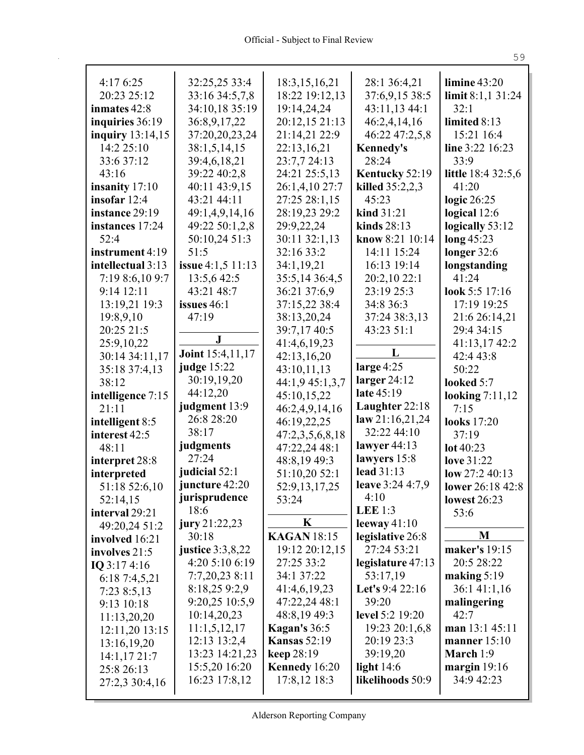| 4:176:25                     | 32:25,25 33:4           | 18:3, 15, 16, 21    | 28:1 36:4,21        | limine $43:20$       |
|------------------------------|-------------------------|---------------------|---------------------|----------------------|
| 20:23 25:12                  | 33:16 34:5,7,8          | 18:22 19:12,13      | 37:6,9,15 38:5      | limit $8:1,1\,31:24$ |
| inmates 42:8                 | 34:10,18 35:19          | 19:14,24,24         | 43:11,13 44:1       | 32:1                 |
| inquiries 36:19              | 36:8,9,17,22            | 20:12,15 21:13      | 46:2,4,14,16        | limited 8:13         |
| inquiry $13:14,15$           | 37:20,20,23,24          | 21:14,21 22:9       | 46:22 47:2,5,8      | 15:21 16:4           |
| 14:2 25:10                   | 38:1,5,14,15            | 22:13,16,21         | Kennedy's           | line 3:22 16:23      |
| 33:6 37:12                   | 39:4,6,18,21            | 23:7,7 24:13        | 28:24               | 33:9                 |
| 43:16                        | 39:22 40:2,8            | 24:21 25:5,13       | Kentucky 52:19      | little 18:4 32:5,6   |
| insanity $17:10$             | 40:11 43:9,15           | 26:1,4,10 27:7      | killed $35:2,2,3$   | 41:20                |
| insofar $12:4$               | 43:21 44:11             | 27:25 28:1,15       | 45:23               | logic $26:25$        |
| instance 29:19               | 49:1,4,9,14,16          | 28:19,23 29:2       | kind 31:21          | logical $12:6$       |
| instances 17:24              | 49:22 50:1,2,8          | 29:9,22,24          | kinds $28:13$       | logically 53:12      |
| 52:4                         | 50:10,24 51:3           | 30:11 32:1,13       | know 8:21 10:14     | long $45:23$         |
| instrument 4:19              | 51:5                    | 32:16 33:2          | 14:11 15:24         | longer $32:6$        |
| intellectual 3:13            | issue 4:1,5 11:13       | 34:1,19,21          | 16:13 19:14         | longstanding         |
| 7:198:6,109:7                | 13:5,6 42:5             | 35:5,14 36:4,5      | 20:2,10 22:1        | 41:24                |
| 9:14 12:11                   | 43:21 48:7              | 36:21 37:6,9        | 23:19 25:3          | look 5:5 17:16       |
| 13:19,21 19:3                | issues $46:1$           | 37:15,22 38:4       | 34:8 36:3           | 17:19 19:25          |
| 19:8,9,10                    | 47:19                   | 38:13,20,24         | 37:24 38:3,13       | 21:6 26:14,21        |
| 20:25 21:5                   |                         | 39:7,17 40:5        | 43:23 51:1          | 29:4 34:15           |
| 25:9,10,22                   | $\bf J$                 | 41:4,6,19,23        |                     | 41:13,17 42:2        |
| 30:14 34:11,17               | <b>Joint</b> 15:4,11,17 | 42:13,16,20         | L                   | 42:4 43:8            |
| 35:18 37:4,13                | judge 15:22             | 43:10,11,13         | large $4:25$        | 50:22                |
| 38:12                        | 30:19,19,20             | 44:1,9 45:1,3,7     | larger $24:12$      | looked 5:7           |
| intelligence 7:15            | 44:12,20                | 45:10,15,22         | late 45:19          | looking $7:11,12$    |
| 21:11                        | judgment 13:9           | 46:2,4,9,14,16      | Laughter 22:18      | 7:15                 |
| intelligent 8:5              | 26:8 28:20              | 46:19,22,25         | law 21:16,21,24     | looks 17:20          |
| interest 42:5                | 38:17                   | 47:2,3,5,6,8,18     | 32:22 44:10         | 37:19                |
| 48:11                        | judgments               | 47:22,24 48:1       | lawyer 44:13        | lot $40:23$          |
| interpret 28:8               | 27:24                   | 48:8,19 49:3        | lawyers 15:8        | love 31:22           |
| interpreted                  | judicial 52:1           | 51:10,20 52:1       | lead 31:13          | low 27:2 40:13       |
| 51:18 52:6,10                | juncture 42:20          | 52:9,13,17,25       | leave 3:24 4:7,9    | lower 26:18 42:8     |
| 52:14,15                     | jurisprudence           | 53:24               | 4:10                | lowest $26:23$       |
| interval 29:21               | 18:6                    |                     | LEE $1:3$           | 53:6                 |
| 49:20,24 51:2                | <b>jury</b> 21:22,23    | K                   | leeway $41:10$      |                      |
| involved 16:21               | 30:18                   | <b>KAGAN</b> 18:15  | legislative 26:8    | M                    |
| involves 21:5                | <b>justice</b> 3:3,8,22 | 19:12 20:12,15      | 27:24 53:21         | maker's 19:15        |
| IQ $3:174:16$                | 4:20 5:10 6:19          | 27:25 33:2          | legislature $47:13$ | 20:5 28:22           |
| 6:18 7:4,5,21                | 7:7,20,23 8:11          | 34:1 37:22          | 53:17,19            | making $5:19$        |
| 7:23 8:5,13                  | 8:18,25 9:2,9           | 41:4,6,19,23        | Let's 9:4 22:16     | 36:1 41:1,16         |
| 9:13 10:18                   | 9:20,25 10:5,9          | 47:22,24 48:1       | 39:20               | malingering          |
| 11:13,20,20                  | 10:14,20,23             | 48:8,19 49:3        | level 5:2 19:20     | 42:7                 |
| 12:11,20 13:15               | 11:1,5,12,17            | <b>Kagan's 36:5</b> | 19:23 20:1,6,8      | man 13:1 45:11       |
| 13:16,19,20                  | 12:13 13:2,4            | <b>Kansas</b> 52:19 | 20:19 23:3          | manner $15:10$       |
|                              |                         |                     |                     |                      |
|                              | 13:23 14:21,23          | keep 28:19          | 39:19,20            | March $1:9$          |
| 14:1,1721:7                  | 15:5,20 16:20           | Kennedy 16:20       | light $14:6$        | margin $19:16$       |
| 25:8 26:13<br>27:2,3 30:4,16 | 16:23 17:8,12           | 17:8,12 18:3        | likelihoods 50:9    | 34:9 42:23           |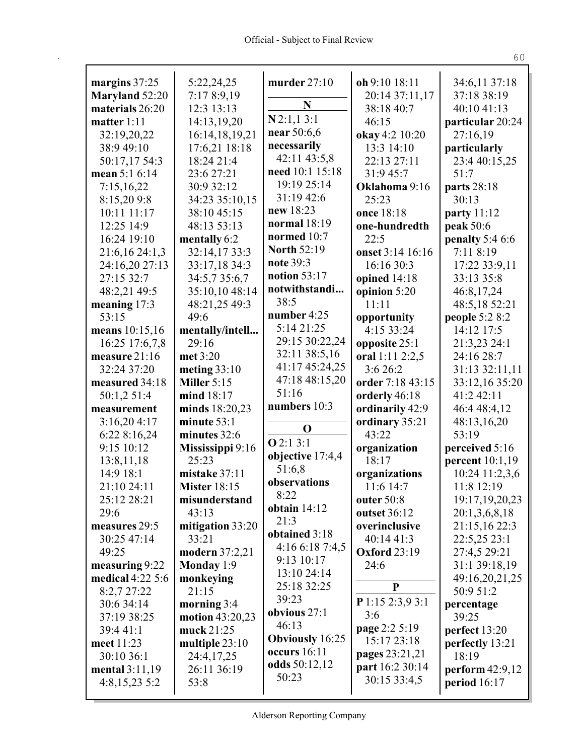| margins 37:25             | 5:22,24,25                       | murder 27:10           | oh 9:10 18:11       | 34:6,11 37:18                    |
|---------------------------|----------------------------------|------------------------|---------------------|----------------------------------|
| Maryland 52:20            | 7:17 8:9,19                      |                        | 20:14 37:11,17      | 37:18 38:19                      |
| materials 26:20           | 12:3 13:13                       | N                      | 38:18 40:7          | 40:10 41:13                      |
| matter $1:11$             | 14:13,19,20                      | N2:1,13:1              | 46:15               | particular 20:24                 |
| 32:19,20,22               | 16:14,18,19,21                   | near 50:6,6            | okay 4:2 10:20      | 27:16,19                         |
| 38:9 49:10                | 17:6,21 18:18                    | necessarily            | 13:3 14:10          | particularly                     |
| 50:17,17 54:3             | 18:24 21:4                       | 42:11 43:5,8           | 22:13 27:11         | 23:4 40:15,25                    |
| mean 5:1 6:14             | 23:6 27:21                       | need 10:1 15:18        | 31:9 45:7           | 51:7                             |
| 7:15,16,22                | 30:9 32:12                       | 19:19 25:14            | Oklahoma 9:16       | parts 28:18                      |
| 8:15,209:8                | 34:23 35:10,15                   | 31:19 42:6             | 25:23               | 30:13                            |
| 10:11 11:17               | 38:10 45:15                      | new 18:23              | once 18:18          | party 11:12                      |
| 12:25 14:9                | 48:13 53:13                      | normal $18:19$         | one-hundredth       | peak 50:6                        |
| 16:24 19:10               | mentally 6:2                     | normed 10:7            | 22:5                | penalty $5:46:6$                 |
| 21:6,16 24:1,3            | 32:14,1733:3                     | <b>North 52:19</b>     | onset 3:14 16:16    | 7:11 8:19                        |
| 24:16,20 27:13            | 33:17,18 34:3                    | note 39:3              | 16:16 30:3          | 17:22 33:9,11                    |
| 27:15 32:7                | 34:5,7 35:6,7                    | notion 53:17           | opined 14:18        | 33:13 35:8                       |
| 48:2,21 49:5              | 35:10,10 48:14                   | notwithstandi          | opinion 5:20        | 46:8,17,24                       |
| meaning 17:3              | 48:21,25 49:3                    | 38:5                   | 11:11               | 48:5,18 52:21                    |
| 53:15                     | 49:6                             | number 4:25            | opportunity         | people 5:2 8:2                   |
| means 10:15,16            | mentally/intell                  | 5:14 21:25             | 4:15 33:24          | 14:12 17:5                       |
| 16:25 17:6,7,8            | 29:16                            | 29:15 30:22,24         | opposite 25:1       | 21:3,23 24:1                     |
| measure 21:16             | met 3:20                         | 32:11 38:5,16          | oral 1:11 2:2,5     | 24:16 28:7                       |
| 32:24 37:20               | meting $33:10$                   | 41:17 45:24,25         | 3:6 26:2            | 31:13 32:11,11                   |
| measured 34:18            | Miller 5:15                      | 47:18 48:15,20         | order 7:18 43:15    | 33:12,16 35:20                   |
| 50:1,2 51:4               | mind 18:17                       | 51:16                  | orderly 46:18       | 41:2 42:11                       |
| measurement               | minds 18:20,23                   | numbers 10:3           | ordinarily 42:9     | 46:4 48:4,12                     |
| 3:16,204:17               | minute $53:1$                    | $\mathbf 0$            | ordinary 35:21      | 48:13,16,20                      |
| 6:22 8:16,24              | minutes 32:6                     | Q2:13:1                | 43:22               | 53:19                            |
| 9:15 10:12                | Mississippi 9:16                 | objective 17:4,4       | organization        | perceived 5:16                   |
| 13:8,11,18                | 25:23                            | 51:6,8                 | 18:17               | percent 10:1,19                  |
| 14:9 18:1                 | mistake 37:11                    | observations           | organizations       | 10:24 11:2,3,6                   |
| 21:10 24:11               | <b>Mister 18:15</b>              | 8:22                   | 11:6 14:7           | 11:8 12:19                       |
| 25:12 28:21               | misunderstand                    | obtain $14:12$         | outer 50:8          | 19:17, 19, 20, 23                |
| 29:6                      | 43:13                            | 21:3                   | outset 36:12        | 20:1,3,6,8,18                    |
| measures 29:5             | mitigation 33:20                 | obtained 3:18          | overinclusive       | 21:15,16 22:3                    |
| 30:25 47:14               | 33:21                            | 4:16 6:18 7:4,5        | 40:14 41:3          | 22:5,25 23:1                     |
| 49:25                     | modern 37:2,21                   | 9:13 10:17             | <b>Oxford</b> 23:19 | 27:4,5 29:21                     |
| measuring 9:22            | Monday $1:9$                     | 13:10 24:14            | 24:6                | 31:1 39:18,19                    |
| medical 4:22 5:6          | monkeying<br>21:15               | 25:18 32:25            | ${\bf P}$           | 49:16,20,21,25<br>50:9 51:2      |
| 8:2,7 27:22               |                                  | 39:23                  | P 1:15 2:3,9 3:1    |                                  |
| 30:6 34:14<br>37:19 38:25 | morning $3:4$<br>motion 43:20,23 | obvious 27:1           | 3:6                 | percentage<br>39:25              |
| 39:441:1                  | muck 21:25                       | 46:13                  | page 2:2 5:19       |                                  |
| meet 11:23                | multiple 23:10                   | <b>Obviously</b> 16:25 | 15:17 23:18         | perfect 13:20<br>perfectly 13:21 |
| 30:10 36:1                | 24:4,17,25                       | occurs $16:11$         | pages 23:21,21      | 18:19                            |
| mental 3:11,19            | 26:11 36:19                      | odds 50:12,12          | part 16:2 30:14     | perform 42:9,12                  |
| 4:8,15,235:2              | 53:8                             | 50:23                  | 30:15 33:4,5        | period $16:17$                   |
|                           |                                  |                        |                     |                                  |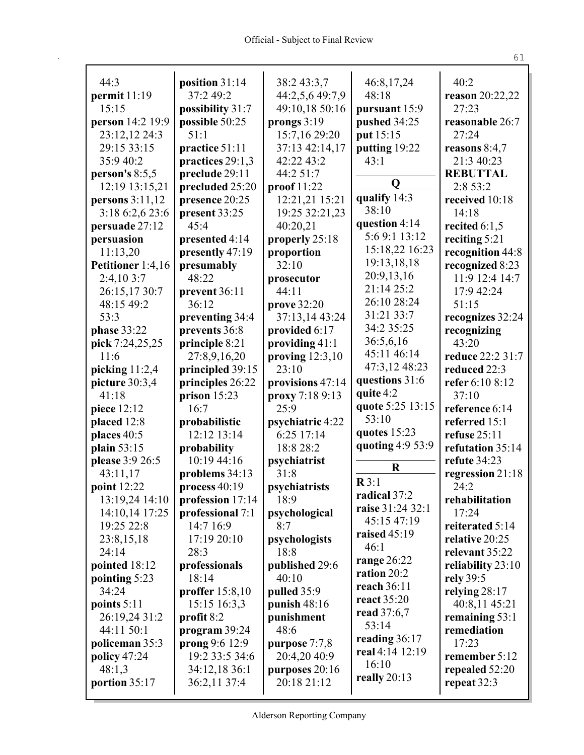| 44:3                    | position 31:14                | 38:2 43:3,7                   | 46:8,17,24                   | 40:2                          |
|-------------------------|-------------------------------|-------------------------------|------------------------------|-------------------------------|
| permit $11:19$          | 37:2 49:2                     | 44:2,5,6 49:7,9               | 48:18                        | <b>reason</b> 20:22,22        |
| 15:15                   | possibility 31:7              | 49:10,18 50:16                | pursuant 15:9                | 27:23                         |
| person 14:2 19:9        | possible 50:25                | prongs $3:19$                 | pushed 34:25                 | reasonable 26:7               |
| 23:12,12 24:3           | 51:1                          | 15:7,16 29:20                 | put 15:15                    | 27:24                         |
| 29:15 33:15             | practice 51:11                | 37:13 42:14,17                | putting 19:22                | reasons $8:4,7$               |
| 35:940:2                | practices 29:1,3              | 42:22 43:2                    | 43:1                         | 21:3 40:23                    |
| person's $8:5,5$        | preclude 29:11                | 44:2 51:7                     |                              | <b>REBUTTAL</b>               |
| 12:19 13:15,21          | precluded 25:20               | proof $11:22$                 | Q                            | 2:8 53:2                      |
| persons 3:11,12         | presence 20:25                | 12:21,21 15:21                | qualify 14:3                 | received 10:18                |
| 3:18 6:2,6 23:6         | present 33:25                 | 19:25 32:21,23                | 38:10                        | 14:18                         |
| persuade 27:12          | 45:4                          | 40:20,21                      | question 4:14                | recited $6:1,5$               |
| persuasion              | presented 4:14                | properly 25:18                | 5:6 9:1 13:12                | reciting $5:21$               |
| 11:13,20                | presently 47:19               | proportion                    | 15:18,22 16:23               | recognition 44:8              |
| Petitioner 1:4,16       | presumably                    | 32:10                         | 19:13,18,18                  | recognized 8:23               |
| 2:4,103:7               | 48:22                         | prosecutor                    | 20:9,13,16                   | 11:9 12:4 14:7                |
| 26:15,1730:7            | prevent 36:11                 | 44:11                         | 21:14 25:2                   | 17:9 42:24                    |
| 48:15 49:2              | 36:12                         | prove 32:20                   | 26:10 28:24                  | 51:15                         |
| 53:3                    | preventing 34:4               | 37:13,14 43:24                | 31:21 33:7                   | recognizes 32:24              |
| phase 33:22             | prevents 36:8                 | provided 6:17                 | 34:2 35:25                   | recognizing                   |
| pick 7:24,25,25         | principle 8:21                | providing 41:1                | 36:5,6,16                    | 43:20                         |
| 11:6                    | 27:8,9,16,20                  | proving $12:3,10$             | 45:11 46:14                  | reduce 22:2 31:7              |
| picking $11:2,4$        | principled 39:15              | 23:10                         | 47:3,12 48:23                | reduced 22:3                  |
| picture 30:3,4          | principles 26:22              | provisions 47:14              | questions 31:6               | refer 6:10 8:12               |
| 41:18                   | prison $15:23$                | proxy 7:18 9:13               | quite 4:2                    | 37:10                         |
| piece 12:12             | 16:7                          | 25:9                          | quote 5:25 13:15             | reference 6:14                |
| placed 12:8             | probabilistic                 | psychiatric 4:22              | 53:10                        | referred 15:1                 |
| places 40:5             | 12:12 13:14                   | 6:25 17:14                    | quotes 15:23                 | refuse 25:11                  |
| plain 53:15             | probability                   | 18:8 28:2                     | quoting 4:9 53:9             | refutation 35:14              |
| please 3:9 26:5         | 10:19 44:16                   | psychiatrist                  | $\bf R$                      | refute 34:23                  |
| 43:11,17                | problems 34:13                | 31:8                          | R3:1                         | regression 21:18              |
| point 12:22             | process $40:19$               | psychiatrists                 | radical 37:2                 | 24:2                          |
| 13:19,24 14:10          | profession 17:14              | 18:9                          | raise 31:24 32:1             | rehabilitation                |
| 14:10,14 17:25          | professional 7:1              |                               |                              |                               |
|                         |                               | psychological                 |                              | 17:24                         |
| 19:25 22:8              | 14:7 16:9                     | 8:7                           | 45:15 47:19                  | reiterated 5:14               |
| 23:8,15,18              | 17:19 20:10                   | psychologists                 | raised $45:19$<br>46:1       | relative 20:25                |
| 24:14                   | 28:3                          | 18:8                          |                              | relevant 35:22                |
| pointed 18:12           | professionals                 | published 29:6                | range $26:22$<br>ration 20:2 | reliability 23:10             |
| pointing 5:23           | 18:14                         | 40:10                         | reach 36:11                  | rely 39:5                     |
| 34:24                   | proffer 15:8,10               | pulled 35:9                   | react 35:20                  | relying 28:17                 |
| points $5:11$           | 15:15 16:3,3                  | punish $48:16$                | read 37:6,7                  | 40:8,11 45:21                 |
| 26:19,24 31:2           | profit 8:2                    | punishment                    | 53:14                        | remaining 53:1                |
| 44:11 50:1              | program 39:24                 | 48:6                          | reading $36:17$              | remediation                   |
| policeman 35:3          | prong 9:6 12:9                | purpose 7:7,8                 | real 4:14 12:19              | 17:23                         |
| policy 47:24            | 19:2 33:5 34:6                | 20:4,20 40:9                  | 16:10                        | remember $5:12$               |
| 48:1,3<br>portion 35:17 | 34:12,18 36:1<br>36:2,11 37:4 | purposes 20:16<br>20:18 21:12 | really 20:13                 | repealed 52:20<br>repeat 32:3 |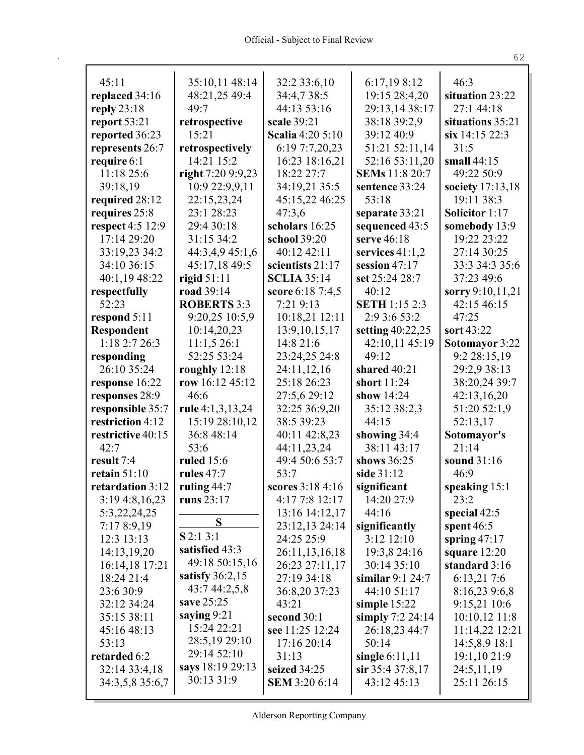| 45:11             | 35:10,11 48:14     | 32:2 33:6,10            | 6:17,198:12           | 46:3                  |
|-------------------|--------------------|-------------------------|-----------------------|-----------------------|
| replaced 34:16    | 48:21,25 49:4      | 34:4,738:5              | 19:15 28:4,20         | situation 23:22       |
| reply 23:18       | 49:7               | 44:13 53:16             | 29:13,14 38:17        | 27:1 44:18            |
| report 53:21      | retrospective      | scale 39:21             | 38:18 39:2,9          | situations 35:21      |
| reported 36:23    | 15:21              | <b>Scalia</b> 4:20 5:10 | 39:12 40:9            | $six$ 14:15 22:3      |
| represents 26:7   | retrospectively    | 6:19 7:7,20,23          | 51:21 52:11,14        | 31:5                  |
| require 6:1       | 14:21 15:2         |                         |                       | small $44:15$         |
|                   |                    | 16:23 18:16,21          | 52:16 53:11,20        |                       |
| 11:18 25:6        | right 7:20 9:9,23  | 18:22 27:7              | <b>SEMs</b> 11:8 20:7 | 49:22 50:9            |
| 39:18,19          | 10:9 22:9,9,11     | 34:19,21 35:5           | sentence 33:24        | society 17:13,18      |
| required 28:12    | 22:15,23,24        | 45:15,22 46:25          | 53:18                 | 19:11 38:3            |
| requires 25:8     | 23:1 28:23         | 47:3,6                  | separate 33:21        | <b>Solicitor</b> 1:17 |
| respect 4:5 12:9  | 29:4 30:18         | scholars 16:25          | sequenced 43:5        | somebody 13:9         |
| 17:14 29:20       | 31:15 34:2         | school 39:20            | serve 46:18           | 19:22 23:22           |
| 33:19,23 34:2     | 44:3,4,9 45:1,6    | 40:12 42:11             | services $41:1,2$     | 27:14 30:25           |
| 34:10 36:15       | 45:17,18 49:5      | scientists 21:17        | session 47:17         | 33:3 34:3 35:6        |
| 40:1,19 48:22     | rigid $51:11$      | <b>SCLIA 35:14</b>      | set 25:24 28:7        | 37:23 49:6            |
| respectfully      | road 39:14         | score 6:18 7:4,5        | 40:12                 | sorry 9:10,11,21      |
| 52:23             | <b>ROBERTS 3:3</b> | 7:219:13                | <b>SETH</b> 1:15 2:3  | 42:15 46:15           |
| respond $5:11$    | 9:20,25 10:5,9     | 10:18,21 12:11          | 2:9 3:6 53:2          | 47:25                 |
|                   |                    |                         |                       |                       |
| <b>Respondent</b> | 10:14,20,23        | 13:9, 10, 15, 17        | setting 40:22,25      | sort 43:22            |
| $1:18$ 2:7 26:3   | 11:1,526:1         | 14:8 21:6               | 42:10,11 45:19        | Sotomayor 3:22        |
| responding        | 52:25 53:24        | 23:24,25 24:8           | 49:12                 | 9:2 28:15,19          |
| 26:10 35:24       | roughly 12:18      | 24:11,12,16             | shared 40:21          | 29:2,9 38:13          |
| response 16:22    | row 16:12 45:12    | 25:18 26:23             | short 11:24           | 38:20,24 39:7         |
| responses 28:9    | 46:6               | 27:5,6 29:12            | show 14:24            | 42:13,16,20           |
| responsible 35:7  | rule 4:1,3,13,24   | 32:25 36:9,20           | 35:12 38:2,3          | 51:20 52:1,9          |
| restriction 4:12  | 15:19 28:10,12     | 38:5 39:23              | 44:15                 | 52:13,17              |
| restrictive 40:15 | 36:8 48:14         | 40:11 42:8,23           | showing 34:4          | Sotomayor's           |
| 42:7              | 53:6               | 44:11,23,24             | 38:11 43:17           | 21:14                 |
| result 7:4        | <b>ruled</b> 15:6  | 49:4 50:6 53:7          | shows 36:25           | sound 31:16           |
| retain $51:10$    | rules 47:7         | 53:7                    | side 31:12            | 46:9                  |
| retardation 3:12  | ruling $44:7$      | scores 3:18 4:16        | significant           | speaking 15:1         |
| 3:194:8,16,23     | runs $23:17$       | 4:17 7:8 12:17          | 14:20 27:9            | 23:2                  |
| 5:3,22,24,25      |                    | 13:16 14:12,17          | 44:16                 | special $42:5$        |
|                   | S                  |                         |                       |                       |
| 7:17 8:9,19       | S2:13:1            | 23:12,13 24:14          | significantly         | spent $46:5$          |
| 12:3 13:13        | satisfied 43:3     | 24:25 25:9              | 3:12 12:10            | spring $47:17$        |
| 14:13,19,20       |                    | 26:11,13,16,18          | 19:3,8 24:16          | square $12:20$        |
| 16:14,18 17:21    | 49:18 50:15,16     | 26:23 27:11,17          | 30:14 35:10           | standard 3:16         |
| 18:24 21:4        | satisfy $36:2,15$  | 27:19 34:18             | similar $9:1$ 24:7    | 6:13,217:6            |
| 23:6 30:9         | 43:7 44:2,5,8      | 36:8,20 37:23           | 44:10 51:17           | 8:16,23 9:6,8         |
| 32:12 34:24       | save 25:25         | 43:21                   | simple $15:22$        | 9:15,21 10:6          |
| 35:15 38:11       | saying 9:21        | second $30:1$           | simply $7:2$ 24:14    | 10:10,12 11:8         |
| 45:16 48:13       | 15:24 22:21        | see 11:25 12:24         | 26:18,23 44:7         | 11:14,22 12:21        |
| 53:13             | 28:5,19 29:10      | 17:16 20:14             | 50:14                 | 14:5,8,9 18:1         |
| retarded 6:2      | 29:14 52:10        | 31:13                   | single $6:11,11$      | 19:1,10 21:9          |
| 32:14 33:4,18     | says 18:19 29:13   | seized 34:25            | $\sin 35:437:8,17$    | 24:5,11,19            |
| 34:3,5,8 35:6,7   | 30:13 31:9         | <b>SEM 3:20 6:14</b>    | 43:12 45:13           | 25:11 26:15           |
|                   |                    |                         |                       |                       |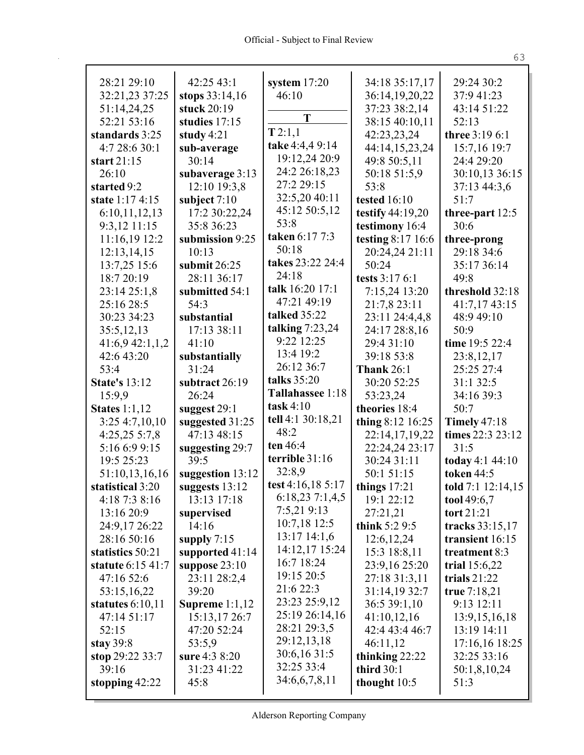| 28:21 29:10                       | 42:25 43:1                    | system $17:20$      | 34:18 35:17,17                 | 29:24 30:2                        |
|-----------------------------------|-------------------------------|---------------------|--------------------------------|-----------------------------------|
| 32:21,23 37:25                    | stops $33:14,16$              | 46:10               | 36:14,19,20,22                 | 37:9 41:23                        |
| 51:14,24,25                       | stuck 20:19                   |                     | 37:23 38:2,14                  | 43:14 51:22                       |
| 52:21 53:16                       | studies 17:15                 | T                   | 38:15 40:10,11                 | 52:13                             |
| standards 3:25                    | study $4:21$                  | T2:1,1              | 42:23,23,24                    | three 3:19 6:1                    |
| 4:7 28:6 30:1                     | sub-average                   | take 4:4,4 9:14     | 44:14,15,23,24                 | 15:7,16 19:7                      |
| start $21:15$                     | 30:14                         | 19:12,24 20:9       | 49:8 50:5,11                   | 24:4 29:20                        |
| 26:10                             | subaverage 3:13               | 24:2 26:18,23       | 50:18 51:5,9                   | 30:10,13 36:15                    |
| started 9:2                       | 12:10 19:3,8                  | 27:2 29:15          | 53:8                           | 37:13 44:3,6                      |
| state 1:17 4:15                   | subject $7:10$                | 32:5,20 40:11       | <b>tested</b> 16:10            | 51:7                              |
| 6:10,11,12,13                     | 17:2 30:22,24                 | 45:12 50:5,12       | testify $44:19,20$             | three-part $12:5$                 |
| $9:3,12$ 11:15                    | 35:8 36:23                    | 53:8                | testimony 16:4                 | 30:6                              |
| 11:16,19 12:2                     | submission 9:25               | taken 6:17 7:3      | testing 8:17 16:6              | three-prong                       |
| 12:13,14,15                       | 10:13                         | 50:18               | 20:24,24 21:11                 | 29:18 34:6                        |
| 13:7,25 15:6                      | submit $26:25$                | takes 23:22 24:4    | 50:24                          | 35:17 36:14                       |
|                                   |                               | 24:18               |                                | 49:8                              |
| 18:7 20:19<br>23:14 25:1,8        | 28:11 36:17<br>submitted 54:1 | talk 16:20 17:1     | tests 3:17 6:1                 |                                   |
|                                   |                               | 47:21 49:19         | 7:15,24 13:20                  | threshold 32:18                   |
| 25:16 28:5                        | 54:3                          | <b>talked 35:22</b> | 21:7,8 23:11                   | 41:7,17 43:15                     |
| 30:23 34:23                       | substantial                   | talking $7:23,24$   | 23:11 24:4,4,8                 | 48:9 49:10                        |
| 35:5,12,13                        | 17:13 38:11                   | 9:22 12:25          | 24:17 28:8,16                  | 50:9                              |
| 41:6,942:1,1,2                    | 41:10                         |                     | 29:4 31:10                     | time 19:5 22:4                    |
| 42:6 43:20                        | substantially                 | 13:4 19:2           | 39:18 53:8                     | 23:8,12,17                        |
| 53:4                              | 31:24                         | 26:12 36:7          | <b>Thank 26:1</b>              | 25:25 27:4                        |
| <b>State's 13:12</b>              | subtract 26:19                | talks 35:20         | 30:20 52:25                    | 31:1 32:5                         |
|                                   |                               |                     |                                |                                   |
| 15:9,9                            | 26:24                         | Tallahassee 1:18    | 53:23,24                       | 34:16 39:3                        |
| <b>States</b> 1:1,12              | suggest $29:1$                | task 4:10           | theories 18:4                  | 50:7                              |
| 3:254:7,10,10                     | suggested 31:25               | tell 4:1 30:18,21   | thing $8:12 \; 16:25$          | <b>Timely</b> 47:18               |
| $4:25,25\ 5:7,8$                  | 47:13 48:15                   | 48:2                | 22:14,17,19,22                 | times 22:3 23:12                  |
| 5:16 6:9 9:15                     | suggesting 29:7               | ten 46:4            | 22:24,24 23:17                 | 31:5                              |
| 19:5 25:23                        | 39:5                          | terrible 31:16      | 30:24 31:11                    | today 4:1 44:10                   |
| 51:10,13,16,16                    | suggestion 13:12              | 32:8,9              | 50:1 51:15                     | token 44:5                        |
| statistical 3:20                  | suggests 13:12                | test 4:16,18 5:17   | things $17:21$                 | told 7:1 12:14,15                 |
| 4:18 7:3 8:16                     | 13:13 17:18                   | 6:18,23 7:1,4,5     | 19:1 22:12                     | tool $49:6,7$                     |
| 13:16 20:9                        | supervised                    | 7:5,219:13          | 27:21,21                       | tort 21:21                        |
| 24:9,17 26:22                     | 14:16                         | 10:7,18 12:5        | think $5:29:5$                 | tracks 33:15,17                   |
| 28:16 50:16                       | supply $7:15$                 | 13:17 14:1,6        | 12:6, 12, 24                   | transient 16:15                   |
| statistics 50:21                  | supported $41:14$             | 14:12,17 15:24      | 15:3 18:8,11                   | treatment 8:3                     |
| statute 6:15 41:7                 | suppose $23:10$               | 16:7 18:24          | 23:9,16 25:20                  |                                   |
| 47:16 52:6                        |                               | 19:15 20:5          |                                | trial $15:6,22$<br>trials $21:22$ |
|                                   | 23:11 28:2,4<br>39:20         | 21:6 22:3           | 27:18 31:3,11<br>31:14,19 32:7 | true $7:18,21$                    |
| 53:15,16,22                       |                               | 23:23 25:9,12       | 36:5 39:1,10                   | 9:13 12:11                        |
| statutes $6:10,11$<br>47:14 51:17 | Supreme $1:1,12$              | 25:19 26:14,16      |                                |                                   |
|                                   | 15:13,17 26:7                 | 28:21 29:3,5        | 41:10,12,16                    | 13:9, 15, 16, 18                  |
| 52:15                             | 47:20 52:24                   | 29:12,13,18         | 42:4 43:4 46:7                 | 13:19 14:11                       |
| stay $39:8$                       | 53:5,9                        | 30:6,16 31:5        | 46:11,12                       | 17:16,16 18:25                    |
| stop $29:223:7$                   | sure 4:3 8:20                 | 32:25 33:4          | thinking $22:22$               | 32:25 33:16                       |
| 39:16<br>stopping $42:22$         | 31:23 41:22<br>45:8           | 34:6,6,7,8,11       | third $30:1$<br>thought $10:5$ | 50:1,8,10,24<br>51:3              |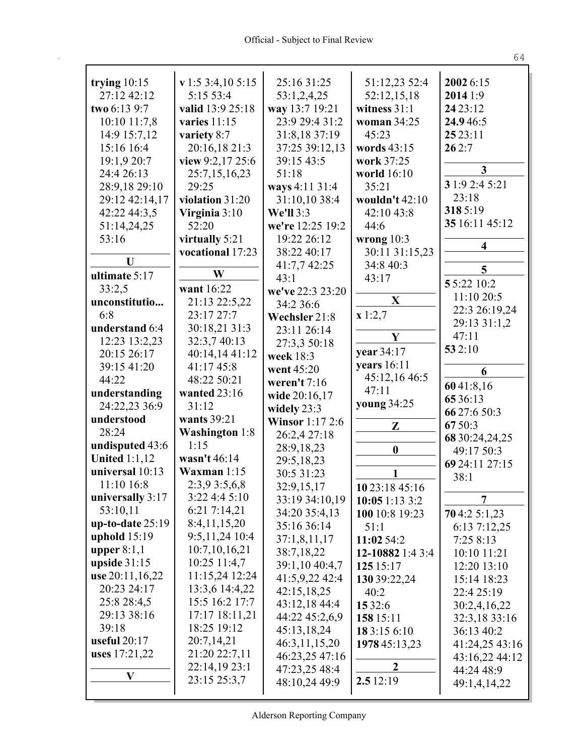| trying 10:15         | v 1:5 3:4,10 5:15               | 25:16 31:25                             | 51:12,23 52:4    | 2002 6:15      |
|----------------------|---------------------------------|-----------------------------------------|------------------|----------------|
| 27:12 42:12          | 5:15 53:4                       | 53:1,2,4,25                             | 52:12,15,18      | 2014 1:9       |
| two 6:13 9:7         | valid 13:9 25:18                | way 13:7 19:21                          | witness 31:1     | 24 23:12       |
| 10:10 11:7,8         | varies $11:15$                  | 23:9 29:4 31:2                          | woman 34:25      | 24.946:5       |
| 14:9 15:7,12         | variety 8:7                     | 31:8,18 37:19                           | 45:23            | 25 23:11       |
| 15:16 16:4           | 20:16,18 21:3                   | 37:25 39:12,13                          | words 43:15      | 262:7          |
| 19:1,9 20:7          | view $9:2,17.25:6$              | 39:15 43:5                              | work 37:25       |                |
| 24:4 26:13           | 25:7,15,16,23                   | 51:18                                   | world 16:10      | $\mathbf{3}$   |
| 28:9,18 29:10        | 29:25                           | ways 4:11 31:4                          | 35:21            | 3 1:9 2:4 5:21 |
| 29:12 42:14,17       | violation 31:20                 | 31:10,10 38:4                           | wouldn't 42:10   | 23:18          |
| 42:22 44:3,5         | Virginia 3:10                   | We'll 3:3                               | 42:10 43:8       | 3185:19        |
| 51:14,24,25          | 52:20                           | we're 12:25 19:2                        | 44:6             | 35 16:11 45:12 |
| 53:16                | virtually 5:21                  | 19:22 26:12                             | wrong $10:3$     |                |
|                      | vocational 17:23                | 38:22 40:17                             | 30:11 31:15,23   | 4              |
| U                    |                                 | 41:7,7 42:25                            | 34:8 40:3        |                |
| ultimate 5:17        | W                               | 43:1                                    | 43:17            | 5              |
| 33:2,5               | want 16:22                      | we've 22:3 23:20                        |                  | 55:22 10:2     |
| unconstitutio        | 21:13 22:5,22                   | 34:2 36:6                               | X                | 11:10 20:5     |
| 6:8                  | 23:17 27:7                      | Wechsler 21:8                           | x 1:2,7          | 22:3 26:19,24  |
| understand 6:4       | 30:18,21 31:3                   | 23:11 26:14                             |                  | 29:13 31:1,2   |
| 12:23 13:2,23        | 32:3,7 40:13                    | 27:3,3 50:18                            | Y                | 47:11          |
| 20:15 26:17          | 40:14,14 41:12                  | week 18:3                               | year 34:17       | 53 2:10        |
| 39:15 41:20          | 41:17 45:8                      | went 45:20                              | years 16:11      |                |
| 44:22                | 48:22 50:21                     | weren't $7:16$                          | 45:12,16 46:5    | 6              |
| understanding        | wanted 23:16                    |                                         | 47:11            | 6041:8,16      |
| 24:22,23 36:9        | 31:12                           | wide 20:16,17                           | young 34:25      | 65 36:13       |
| understood           | wants $39:21$                   | widely $23:3$<br><b>Winsor</b> 1:17 2:6 |                  | 66 27:6 50:3   |
| 28:24                | <b>Washington</b> 1:8           |                                         | Z                | 67 50:3        |
| undisputed 43:6      | 1:15                            | 26:2,4 27:18                            |                  | 68 30:24,24,25 |
| <b>United 1:1,12</b> | wasn't 46:14                    | 28:9,18,23                              | $\boldsymbol{0}$ | 49:17 50:3     |
| universal 10:13      | Waxman $1:15$                   | 29:5,18,23                              |                  | 69 24:11 27:15 |
| 11:10 16:8           | 2:3,9 3:5,6,8                   | 30:5 31:23                              | 1                | 38:1           |
| universally $3:17$   | 3:224:45:10                     | 32:9,15,17                              | 10 23:18 45:16   |                |
| 53:10,11             | 6:217:14,21                     | 33:19 34:10,19                          | 10:051:133:2     | 7              |
| up-to-date $25:19$   | 8:4,11,15,20                    | 34:20 35:4,13                           | 100 10:8 19:23   | 70 4:2 5:1,23  |
| uphold $15:19$       |                                 | 35:16 36:14                             | 51:1             | 6:13 7:12,25   |
|                      | 9:5,11,24 10:4<br>10:7,10,16,21 | 37:1,8,11,17                            | 11:02 54:2       | 7:258:13       |
| upper $8:1,1$        |                                 | 38:7,18,22                              | 12-10882 1:4 3:4 | 10:10 11:21    |
| upside $31:15$       | 10:25 11:4,7                    | 39:1,10 40:4,7                          | 125 15:17        | 12:20 13:10    |
| use $20:11,16,22$    | 11:15,24 12:24                  | 41:5,9,22 42:4                          | 130 39:22,24     | 15:14 18:23    |
| 20:23 24:17          | 13:3,6 14:4,22                  | 42:15,18,25                             | 40:2             | 22:4 25:19     |
| 25:8 28:4,5          | 15:5 16:2 17:7                  | 43:12,18 44:4                           | 15 32:6          | 30:2,4,16,22   |
| 29:13 38:16          | 17:17 18:11,21                  | 44:22 45:2,6,9                          | 158 15:11        | 32:3,18 33:16  |
| 39:18                | 18:25 19:12                     | 45:13,18,24                             | 18 3:15 6:10     | 36:13 40:2     |
| useful 20:17         | 20:7,14,21                      | 46:3,11,15,20                           | 1978 45:13,23    | 41:24,25 43:16 |
| uses 17:21,22        | 21:20 22:7,11                   | 46:23,25 47:16                          |                  | 43:16,22 44:12 |
| V                    | 22:14,19 23:1                   | 47:23,25 48:4                           | $\boldsymbol{2}$ | 44:24 48:9     |
|                      | 23:15 25:3,7                    | 48:10,24 49:9                           | 2.512:19         | 49:1,4,14,22   |
|                      |                                 |                                         |                  |                |

Alderson Reporting Company